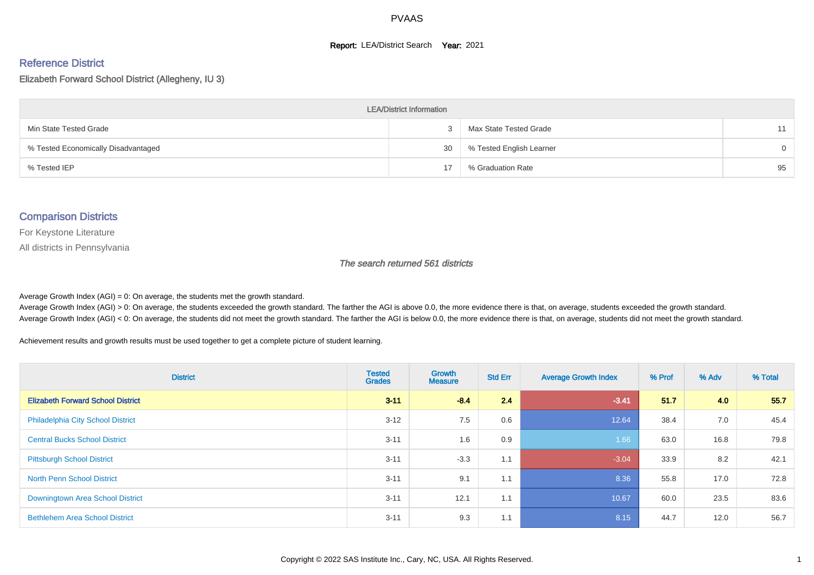#### **Report: LEA/District Search Year: 2021**

#### Reference District

Elizabeth Forward School District (Allegheny, IU 3)

| <b>LEA/District Information</b>     |    |                          |          |  |  |  |  |  |  |  |
|-------------------------------------|----|--------------------------|----------|--|--|--|--|--|--|--|
| Min State Tested Grade              |    | Max State Tested Grade   | 11       |  |  |  |  |  |  |  |
| % Tested Economically Disadvantaged | 30 | % Tested English Learner | $\Omega$ |  |  |  |  |  |  |  |
| % Tested IEP                        | 17 | % Graduation Rate        | 95       |  |  |  |  |  |  |  |

#### Comparison Districts

For Keystone Literature

All districts in Pennsylvania

The search returned 561 districts

Average Growth Index  $(AGI) = 0$ : On average, the students met the growth standard.

Average Growth Index (AGI) > 0: On average, the students exceeded the growth standard. The farther the AGI is above 0.0, the more evidence there is that, on average, students exceeded the growth standard. Average Growth Index (AGI) < 0: On average, the students did not meet the growth standard. The farther the AGI is below 0.0, the more evidence there is that, on average, students did not meet the growth standard.

Achievement results and growth results must be used together to get a complete picture of student learning.

| <b>District</b>                          | <b>Tested</b><br><b>Grades</b> | <b>Growth</b><br><b>Measure</b> | <b>Std Err</b> | <b>Average Growth Index</b> | % Prof | % Adv | % Total |
|------------------------------------------|--------------------------------|---------------------------------|----------------|-----------------------------|--------|-------|---------|
| <b>Elizabeth Forward School District</b> | $3 - 11$                       | $-8.4$                          | 2.4            | $-3.41$                     | 51.7   | 4.0   | 55.7    |
| <b>Philadelphia City School District</b> | $3 - 12$                       | 7.5                             | 0.6            | 12.64                       | 38.4   | 7.0   | 45.4    |
| <b>Central Bucks School District</b>     | $3 - 11$                       | 1.6                             | 0.9            | 1.66                        | 63.0   | 16.8  | 79.8    |
| <b>Pittsburgh School District</b>        | $3 - 11$                       | $-3.3$                          | 1.1            | $-3.04$                     | 33.9   | 8.2   | 42.1    |
| <b>North Penn School District</b>        | $3 - 11$                       | 9.1                             | 1.1            | 8.36                        | 55.8   | 17.0  | 72.8    |
| Downingtown Area School District         | $3 - 11$                       | 12.1                            | 1.1            | 10.67                       | 60.0   | 23.5  | 83.6    |
| <b>Bethlehem Area School District</b>    | $3 - 11$                       | 9.3                             | 1.1            | 8.15                        | 44.7   | 12.0  | 56.7    |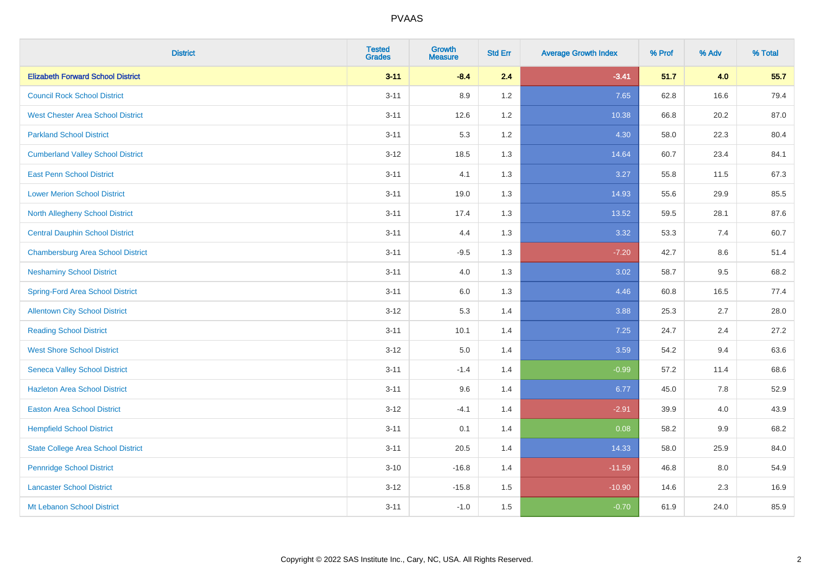| <b>District</b>                           | <b>Tested</b><br><b>Grades</b> | <b>Growth</b><br><b>Measure</b> | <b>Std Err</b> | <b>Average Growth Index</b> | % Prof | % Adv | % Total |
|-------------------------------------------|--------------------------------|---------------------------------|----------------|-----------------------------|--------|-------|---------|
| <b>Elizabeth Forward School District</b>  | $3 - 11$                       | $-8.4$                          | 2.4            | $-3.41$                     | 51.7   | 4.0   | 55.7    |
| <b>Council Rock School District</b>       | $3 - 11$                       | 8.9                             | 1.2            | 7.65                        | 62.8   | 16.6  | 79.4    |
| <b>West Chester Area School District</b>  | $3 - 11$                       | 12.6                            | 1.2            | 10.38                       | 66.8   | 20.2  | 87.0    |
| <b>Parkland School District</b>           | $3 - 11$                       | 5.3                             | 1.2            | 4.30                        | 58.0   | 22.3  | 80.4    |
| <b>Cumberland Valley School District</b>  | $3 - 12$                       | 18.5                            | 1.3            | 14.64                       | 60.7   | 23.4  | 84.1    |
| <b>East Penn School District</b>          | $3 - 11$                       | 4.1                             | 1.3            | 3.27                        | 55.8   | 11.5  | 67.3    |
| <b>Lower Merion School District</b>       | $3 - 11$                       | 19.0                            | 1.3            | 14.93                       | 55.6   | 29.9  | 85.5    |
| <b>North Allegheny School District</b>    | $3 - 11$                       | 17.4                            | 1.3            | 13.52                       | 59.5   | 28.1  | 87.6    |
| <b>Central Dauphin School District</b>    | $3 - 11$                       | 4.4                             | 1.3            | 3.32                        | 53.3   | 7.4   | 60.7    |
| <b>Chambersburg Area School District</b>  | $3 - 11$                       | $-9.5$                          | 1.3            | $-7.20$                     | 42.7   | 8.6   | 51.4    |
| <b>Neshaminy School District</b>          | $3 - 11$                       | 4.0                             | 1.3            | 3.02                        | 58.7   | 9.5   | 68.2    |
| <b>Spring-Ford Area School District</b>   | $3 - 11$                       | 6.0                             | 1.3            | 4.46                        | 60.8   | 16.5  | 77.4    |
| <b>Allentown City School District</b>     | $3 - 12$                       | 5.3                             | 1.4            | 3.88                        | 25.3   | 2.7   | 28.0    |
| <b>Reading School District</b>            | $3 - 11$                       | 10.1                            | 1.4            | 7.25                        | 24.7   | 2.4   | 27.2    |
| <b>West Shore School District</b>         | $3 - 12$                       | $5.0\,$                         | 1.4            | 3.59                        | 54.2   | 9.4   | 63.6    |
| <b>Seneca Valley School District</b>      | $3 - 11$                       | $-1.4$                          | 1.4            | $-0.99$                     | 57.2   | 11.4  | 68.6    |
| <b>Hazleton Area School District</b>      | $3 - 11$                       | 9.6                             | 1.4            | 6.77                        | 45.0   | 7.8   | 52.9    |
| <b>Easton Area School District</b>        | $3 - 12$                       | $-4.1$                          | 1.4            | $-2.91$                     | 39.9   | 4.0   | 43.9    |
| <b>Hempfield School District</b>          | $3 - 11$                       | 0.1                             | 1.4            | 0.08                        | 58.2   | 9.9   | 68.2    |
| <b>State College Area School District</b> | $3 - 11$                       | 20.5                            | 1.4            | 14.33                       | 58.0   | 25.9  | 84.0    |
| <b>Pennridge School District</b>          | $3 - 10$                       | $-16.8$                         | 1.4            | $-11.59$                    | 46.8   | 8.0   | 54.9    |
| <b>Lancaster School District</b>          | $3 - 12$                       | $-15.8$                         | 1.5            | $-10.90$                    | 14.6   | 2.3   | 16.9    |
| Mt Lebanon School District                | $3 - 11$                       | $-1.0$                          | 1.5            | $-0.70$                     | 61.9   | 24.0  | 85.9    |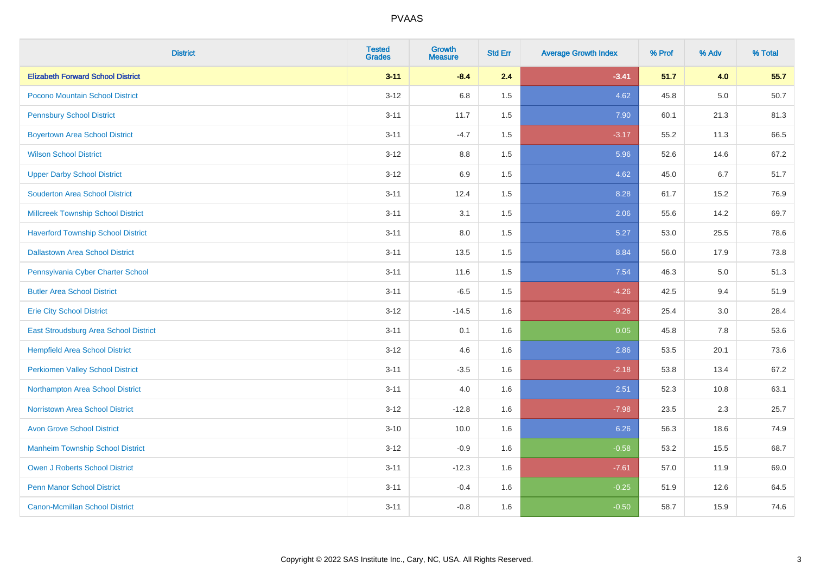| <b>District</b>                           | <b>Tested</b><br><b>Grades</b> | <b>Growth</b><br><b>Measure</b> | <b>Std Err</b> | <b>Average Growth Index</b> | % Prof | % Adv   | % Total |
|-------------------------------------------|--------------------------------|---------------------------------|----------------|-----------------------------|--------|---------|---------|
| <b>Elizabeth Forward School District</b>  | $3 - 11$                       | $-8.4$                          | 2.4            | $-3.41$                     | 51.7   | 4.0     | 55.7    |
| Pocono Mountain School District           | $3 - 12$                       | 6.8                             | 1.5            | 4.62                        | 45.8   | $5.0\,$ | 50.7    |
| <b>Pennsbury School District</b>          | $3 - 11$                       | 11.7                            | 1.5            | 7.90                        | 60.1   | 21.3    | 81.3    |
| <b>Boyertown Area School District</b>     | $3 - 11$                       | $-4.7$                          | 1.5            | $-3.17$                     | 55.2   | 11.3    | 66.5    |
| <b>Wilson School District</b>             | $3 - 12$                       | 8.8                             | 1.5            | 5.96                        | 52.6   | 14.6    | 67.2    |
| <b>Upper Darby School District</b>        | $3 - 12$                       | 6.9                             | 1.5            | 4.62                        | 45.0   | 6.7     | 51.7    |
| <b>Souderton Area School District</b>     | $3 - 11$                       | 12.4                            | 1.5            | 8.28                        | 61.7   | 15.2    | 76.9    |
| <b>Millcreek Township School District</b> | $3 - 11$                       | 3.1                             | 1.5            | 2.06                        | 55.6   | 14.2    | 69.7    |
| <b>Haverford Township School District</b> | $3 - 11$                       | 8.0                             | 1.5            | 5.27                        | 53.0   | 25.5    | 78.6    |
| <b>Dallastown Area School District</b>    | $3 - 11$                       | 13.5                            | 1.5            | 8.84                        | 56.0   | 17.9    | 73.8    |
| Pennsylvania Cyber Charter School         | $3 - 11$                       | 11.6                            | 1.5            | 7.54                        | 46.3   | 5.0     | 51.3    |
| <b>Butler Area School District</b>        | $3 - 11$                       | $-6.5$                          | 1.5            | $-4.26$                     | 42.5   | 9.4     | 51.9    |
| <b>Erie City School District</b>          | $3 - 12$                       | $-14.5$                         | 1.6            | $-9.26$                     | 25.4   | 3.0     | 28.4    |
| East Stroudsburg Area School District     | $3 - 11$                       | 0.1                             | 1.6            | 0.05                        | 45.8   | 7.8     | 53.6    |
| <b>Hempfield Area School District</b>     | $3 - 12$                       | 4.6                             | 1.6            | 2.86                        | 53.5   | 20.1    | 73.6    |
| <b>Perkiomen Valley School District</b>   | $3 - 11$                       | $-3.5$                          | 1.6            | $-2.18$                     | 53.8   | 13.4    | 67.2    |
| Northampton Area School District          | $3 - 11$                       | 4.0                             | 1.6            | 2.51                        | 52.3   | 10.8    | 63.1    |
| <b>Norristown Area School District</b>    | $3 - 12$                       | $-12.8$                         | 1.6            | $-7.98$                     | 23.5   | 2.3     | 25.7    |
| <b>Avon Grove School District</b>         | $3 - 10$                       | 10.0                            | 1.6            | 6.26                        | 56.3   | 18.6    | 74.9    |
| <b>Manheim Township School District</b>   | $3 - 12$                       | $-0.9$                          | 1.6            | $-0.58$                     | 53.2   | 15.5    | 68.7    |
| <b>Owen J Roberts School District</b>     | $3 - 11$                       | $-12.3$                         | 1.6            | $-7.61$                     | 57.0   | 11.9    | 69.0    |
| <b>Penn Manor School District</b>         | $3 - 11$                       | $-0.4$                          | 1.6            | $-0.25$                     | 51.9   | 12.6    | 64.5    |
| <b>Canon-Mcmillan School District</b>     | $3 - 11$                       | $-0.8$                          | 1.6            | $-0.50$                     | 58.7   | 15.9    | 74.6    |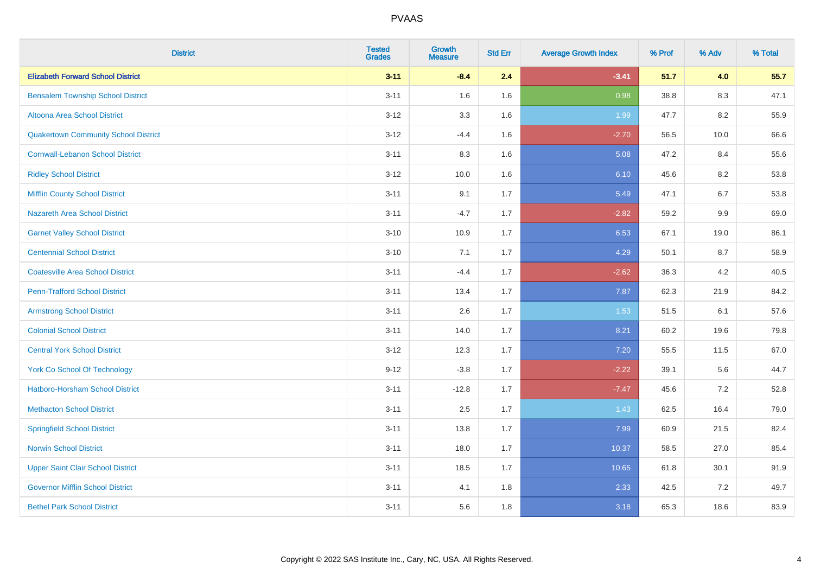| <b>District</b>                             | <b>Tested</b><br><b>Grades</b> | <b>Growth</b><br><b>Measure</b> | <b>Std Err</b> | <b>Average Growth Index</b> | % Prof | % Adv | % Total |
|---------------------------------------------|--------------------------------|---------------------------------|----------------|-----------------------------|--------|-------|---------|
| <b>Elizabeth Forward School District</b>    | $3 - 11$                       | $-8.4$                          | 2.4            | $-3.41$                     | 51.7   | 4.0   | 55.7    |
| <b>Bensalem Township School District</b>    | $3 - 11$                       | 1.6                             | 1.6            | 0.98                        | 38.8   | 8.3   | 47.1    |
| Altoona Area School District                | $3 - 12$                       | 3.3                             | 1.6            | 1.99                        | 47.7   | 8.2   | 55.9    |
| <b>Quakertown Community School District</b> | $3 - 12$                       | $-4.4$                          | 1.6            | $-2.70$                     | 56.5   | 10.0  | 66.6    |
| <b>Cornwall-Lebanon School District</b>     | $3 - 11$                       | 8.3                             | 1.6            | 5.08                        | 47.2   | 8.4   | 55.6    |
| <b>Ridley School District</b>               | $3 - 12$                       | 10.0                            | 1.6            | 6.10                        | 45.6   | 8.2   | 53.8    |
| <b>Mifflin County School District</b>       | $3 - 11$                       | 9.1                             | 1.7            | 5.49                        | 47.1   | 6.7   | 53.8    |
| <b>Nazareth Area School District</b>        | $3 - 11$                       | $-4.7$                          | 1.7            | $-2.82$                     | 59.2   | 9.9   | 69.0    |
| <b>Garnet Valley School District</b>        | $3 - 10$                       | 10.9                            | 1.7            | 6.53                        | 67.1   | 19.0  | 86.1    |
| <b>Centennial School District</b>           | $3 - 10$                       | 7.1                             | 1.7            | 4.29                        | 50.1   | 8.7   | 58.9    |
| <b>Coatesville Area School District</b>     | $3 - 11$                       | $-4.4$                          | 1.7            | $-2.62$                     | 36.3   | 4.2   | 40.5    |
| <b>Penn-Trafford School District</b>        | $3 - 11$                       | 13.4                            | 1.7            | 7.87                        | 62.3   | 21.9  | 84.2    |
| <b>Armstrong School District</b>            | $3 - 11$                       | 2.6                             | 1.7            | 1.53                        | 51.5   | 6.1   | 57.6    |
| <b>Colonial School District</b>             | $3 - 11$                       | 14.0                            | 1.7            | 8.21                        | 60.2   | 19.6  | 79.8    |
| <b>Central York School District</b>         | $3 - 12$                       | 12.3                            | 1.7            | 7.20                        | 55.5   | 11.5  | 67.0    |
| <b>York Co School Of Technology</b>         | $9 - 12$                       | $-3.8$                          | 1.7            | $-2.22$                     | 39.1   | 5.6   | 44.7    |
| <b>Hatboro-Horsham School District</b>      | $3 - 11$                       | $-12.8$                         | 1.7            | $-7.47$                     | 45.6   | 7.2   | 52.8    |
| <b>Methacton School District</b>            | $3 - 11$                       | 2.5                             | 1.7            | 1.43                        | 62.5   | 16.4  | 79.0    |
| <b>Springfield School District</b>          | $3 - 11$                       | 13.8                            | 1.7            | 7.99                        | 60.9   | 21.5  | 82.4    |
| <b>Norwin School District</b>               | $3 - 11$                       | 18.0                            | 1.7            | 10.37                       | 58.5   | 27.0  | 85.4    |
| <b>Upper Saint Clair School District</b>    | $3 - 11$                       | 18.5                            | 1.7            | 10.65                       | 61.8   | 30.1  | 91.9    |
| <b>Governor Mifflin School District</b>     | $3 - 11$                       | 4.1                             | 1.8            | 2.33                        | 42.5   | 7.2   | 49.7    |
| <b>Bethel Park School District</b>          | $3 - 11$                       | 5.6                             | 1.8            | 3.18                        | 65.3   | 18.6  | 83.9    |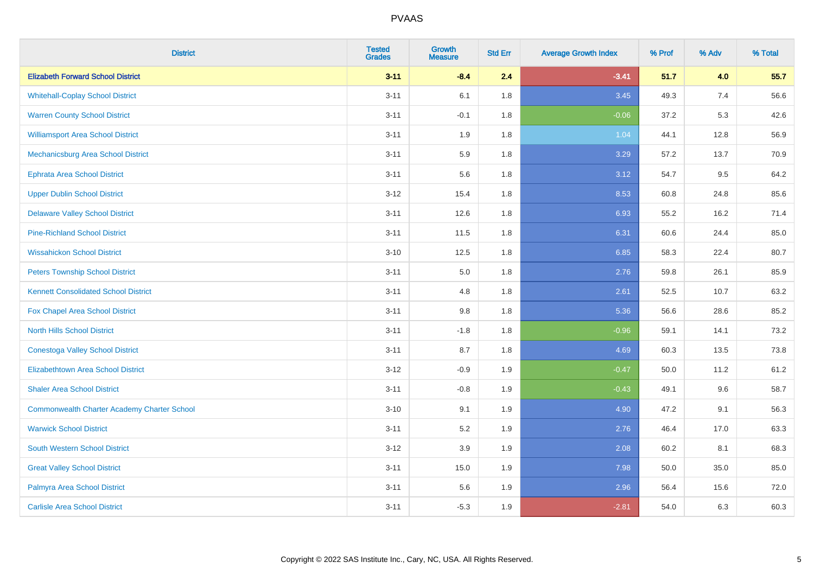| <b>District</b>                                    | <b>Tested</b><br><b>Grades</b> | <b>Growth</b><br><b>Measure</b> | <b>Std Err</b> | <b>Average Growth Index</b> | % Prof | % Adv | % Total |
|----------------------------------------------------|--------------------------------|---------------------------------|----------------|-----------------------------|--------|-------|---------|
| <b>Elizabeth Forward School District</b>           | $3 - 11$                       | $-8.4$                          | 2.4            | $-3.41$                     | 51.7   | 4.0   | 55.7    |
| <b>Whitehall-Coplay School District</b>            | $3 - 11$                       | 6.1                             | 1.8            | 3.45                        | 49.3   | 7.4   | 56.6    |
| <b>Warren County School District</b>               | $3 - 11$                       | $-0.1$                          | 1.8            | $-0.06$                     | 37.2   | 5.3   | 42.6    |
| <b>Williamsport Area School District</b>           | $3 - 11$                       | 1.9                             | 1.8            | 1.04                        | 44.1   | 12.8  | 56.9    |
| <b>Mechanicsburg Area School District</b>          | $3 - 11$                       | 5.9                             | 1.8            | 3.29                        | 57.2   | 13.7  | 70.9    |
| <b>Ephrata Area School District</b>                | $3 - 11$                       | 5.6                             | 1.8            | 3.12                        | 54.7   | 9.5   | 64.2    |
| <b>Upper Dublin School District</b>                | $3 - 12$                       | 15.4                            | 1.8            | 8.53                        | 60.8   | 24.8  | 85.6    |
| <b>Delaware Valley School District</b>             | $3 - 11$                       | 12.6                            | 1.8            | 6.93                        | 55.2   | 16.2  | 71.4    |
| <b>Pine-Richland School District</b>               | $3 - 11$                       | 11.5                            | 1.8            | 6.31                        | 60.6   | 24.4  | 85.0    |
| <b>Wissahickon School District</b>                 | $3 - 10$                       | 12.5                            | 1.8            | 6.85                        | 58.3   | 22.4  | 80.7    |
| <b>Peters Township School District</b>             | $3 - 11$                       | 5.0                             | 1.8            | 2.76                        | 59.8   | 26.1  | 85.9    |
| <b>Kennett Consolidated School District</b>        | $3 - 11$                       | 4.8                             | 1.8            | 2.61                        | 52.5   | 10.7  | 63.2    |
| Fox Chapel Area School District                    | $3 - 11$                       | $9.8\,$                         | 1.8            | 5.36                        | 56.6   | 28.6  | 85.2    |
| <b>North Hills School District</b>                 | $3 - 11$                       | $-1.8$                          | 1.8            | $-0.96$                     | 59.1   | 14.1  | 73.2    |
| <b>Conestoga Valley School District</b>            | $3 - 11$                       | 8.7                             | 1.8            | 4.69                        | 60.3   | 13.5  | 73.8    |
| <b>Elizabethtown Area School District</b>          | $3 - 12$                       | $-0.9$                          | 1.9            | $-0.47$                     | 50.0   | 11.2  | 61.2    |
| <b>Shaler Area School District</b>                 | $3 - 11$                       | $-0.8$                          | 1.9            | $-0.43$                     | 49.1   | 9.6   | 58.7    |
| <b>Commonwealth Charter Academy Charter School</b> | $3 - 10$                       | 9.1                             | 1.9            | 4.90                        | 47.2   | 9.1   | 56.3    |
| <b>Warwick School District</b>                     | $3 - 11$                       | 5.2                             | 1.9            | 2.76                        | 46.4   | 17.0  | 63.3    |
| South Western School District                      | $3 - 12$                       | 3.9                             | 1.9            | 2.08                        | 60.2   | 8.1   | 68.3    |
| <b>Great Valley School District</b>                | $3 - 11$                       | 15.0                            | 1.9            | 7.98                        | 50.0   | 35.0  | 85.0    |
| Palmyra Area School District                       | $3 - 11$                       | 5.6                             | 1.9            | 2.96                        | 56.4   | 15.6  | 72.0    |
| <b>Carlisle Area School District</b>               | $3 - 11$                       | $-5.3$                          | 1.9            | $-2.81$                     | 54.0   | 6.3   | 60.3    |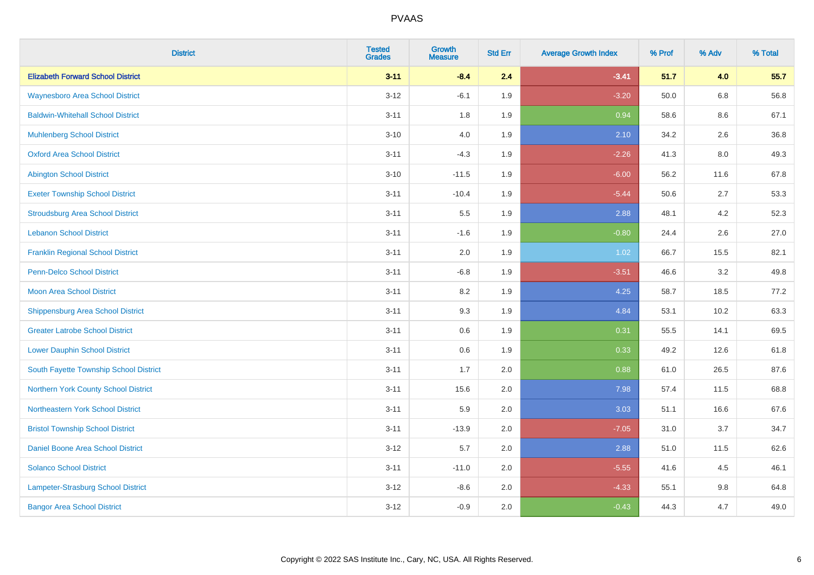| <b>District</b>                          | <b>Tested</b><br><b>Grades</b> | <b>Growth</b><br><b>Measure</b> | <b>Std Err</b> | <b>Average Growth Index</b> | % Prof | % Adv   | % Total |
|------------------------------------------|--------------------------------|---------------------------------|----------------|-----------------------------|--------|---------|---------|
| <b>Elizabeth Forward School District</b> | $3 - 11$                       | $-8.4$                          | 2.4            | $-3.41$                     | 51.7   | 4.0     | 55.7    |
| <b>Waynesboro Area School District</b>   | $3 - 12$                       | $-6.1$                          | 1.9            | $-3.20$                     | 50.0   | $6.8\,$ | 56.8    |
| <b>Baldwin-Whitehall School District</b> | $3 - 11$                       | 1.8                             | 1.9            | 0.94                        | 58.6   | $8.6\,$ | 67.1    |
| <b>Muhlenberg School District</b>        | $3 - 10$                       | 4.0                             | 1.9            | 2.10                        | 34.2   | 2.6     | 36.8    |
| <b>Oxford Area School District</b>       | $3 - 11$                       | $-4.3$                          | 1.9            | $-2.26$                     | 41.3   | 8.0     | 49.3    |
| <b>Abington School District</b>          | $3 - 10$                       | $-11.5$                         | 1.9            | $-6.00$                     | 56.2   | 11.6    | 67.8    |
| <b>Exeter Township School District</b>   | $3 - 11$                       | $-10.4$                         | 1.9            | $-5.44$                     | 50.6   | 2.7     | 53.3    |
| <b>Stroudsburg Area School District</b>  | $3 - 11$                       | $5.5\,$                         | 1.9            | 2.88                        | 48.1   | 4.2     | 52.3    |
| <b>Lebanon School District</b>           | $3 - 11$                       | $-1.6$                          | 1.9            | $-0.80$                     | 24.4   | 2.6     | 27.0    |
| <b>Franklin Regional School District</b> | $3 - 11$                       | 2.0                             | 1.9            | 1.02                        | 66.7   | 15.5    | 82.1    |
| <b>Penn-Delco School District</b>        | $3 - 11$                       | $-6.8$                          | 1.9            | $-3.51$                     | 46.6   | 3.2     | 49.8    |
| <b>Moon Area School District</b>         | $3 - 11$                       | 8.2                             | 1.9            | 4.25                        | 58.7   | 18.5    | 77.2    |
| <b>Shippensburg Area School District</b> | $3 - 11$                       | 9.3                             | 1.9            | 4.84                        | 53.1   | 10.2    | 63.3    |
| <b>Greater Latrobe School District</b>   | $3 - 11$                       | 0.6                             | 1.9            | 0.31                        | 55.5   | 14.1    | 69.5    |
| <b>Lower Dauphin School District</b>     | $3 - 11$                       | 0.6                             | 1.9            | 0.33                        | 49.2   | 12.6    | 61.8    |
| South Fayette Township School District   | $3 - 11$                       | 1.7                             | 2.0            | 0.88                        | 61.0   | 26.5    | 87.6    |
| Northern York County School District     | $3 - 11$                       | 15.6                            | 2.0            | 7.98                        | 57.4   | 11.5    | 68.8    |
| Northeastern York School District        | $3 - 11$                       | 5.9                             | 2.0            | 3.03                        | 51.1   | 16.6    | 67.6    |
| <b>Bristol Township School District</b>  | $3 - 11$                       | $-13.9$                         | 2.0            | $-7.05$                     | 31.0   | 3.7     | 34.7    |
| <b>Daniel Boone Area School District</b> | $3 - 12$                       | 5.7                             | 2.0            | 2.88                        | 51.0   | 11.5    | 62.6    |
| <b>Solanco School District</b>           | $3 - 11$                       | $-11.0$                         | 2.0            | $-5.55$                     | 41.6   | 4.5     | 46.1    |
| Lampeter-Strasburg School District       | $3-12$                         | $-8.6$                          | 2.0            | $-4.33$                     | 55.1   | 9.8     | 64.8    |
| <b>Bangor Area School District</b>       | $3 - 12$                       | $-0.9$                          | 2.0            | $-0.43$                     | 44.3   | 4.7     | 49.0    |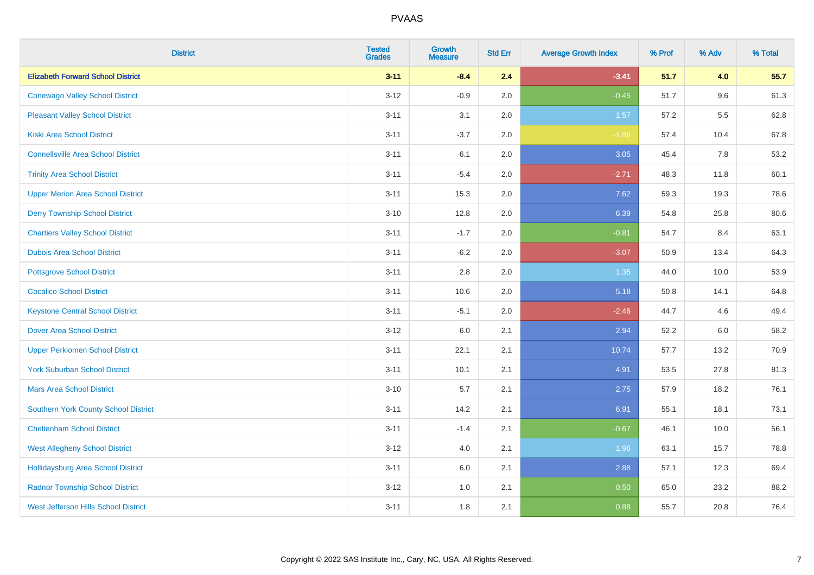| <b>District</b>                             | <b>Tested</b><br><b>Grades</b> | Growth<br><b>Measure</b> | <b>Std Err</b> | <b>Average Growth Index</b> | % Prof | % Adv | % Total |
|---------------------------------------------|--------------------------------|--------------------------|----------------|-----------------------------|--------|-------|---------|
| <b>Elizabeth Forward School District</b>    | $3 - 11$                       | $-8.4$                   | 2.4            | $-3.41$                     | 51.7   | 4.0   | 55.7    |
| <b>Conewago Valley School District</b>      | $3 - 12$                       | $-0.9$                   | 2.0            | $-0.45$                     | 51.7   | 9.6   | 61.3    |
| <b>Pleasant Valley School District</b>      | $3 - 11$                       | 3.1                      | 2.0            | 1.57                        | 57.2   | 5.5   | 62.8    |
| <b>Kiski Area School District</b>           | $3 - 11$                       | $-3.7$                   | 2.0            | $-1.86$                     | 57.4   | 10.4  | 67.8    |
| <b>Connellsville Area School District</b>   | $3 - 11$                       | 6.1                      | 2.0            | 3.05                        | 45.4   | 7.8   | 53.2    |
| <b>Trinity Area School District</b>         | $3 - 11$                       | $-5.4$                   | 2.0            | $-2.71$                     | 48.3   | 11.8  | 60.1    |
| <b>Upper Merion Area School District</b>    | $3 - 11$                       | 15.3                     | 2.0            | 7.62                        | 59.3   | 19.3  | 78.6    |
| <b>Derry Township School District</b>       | $3 - 10$                       | 12.8                     | 2.0            | 6.39                        | 54.8   | 25.8  | 80.6    |
| <b>Chartiers Valley School District</b>     | $3 - 11$                       | $-1.7$                   | 2.0            | $-0.81$                     | 54.7   | 8.4   | 63.1    |
| <b>Dubois Area School District</b>          | $3 - 11$                       | $-6.2$                   | 2.0            | $-3.07$                     | 50.9   | 13.4  | 64.3    |
| <b>Pottsgrove School District</b>           | $3 - 11$                       | 2.8                      | 2.0            | 1.35                        | 44.0   | 10.0  | 53.9    |
| <b>Cocalico School District</b>             | $3 - 11$                       | 10.6                     | 2.0            | 5.18                        | 50.8   | 14.1  | 64.8    |
| <b>Keystone Central School District</b>     | $3 - 11$                       | $-5.1$                   | 2.0            | $-2.46$                     | 44.7   | 4.6   | 49.4    |
| <b>Dover Area School District</b>           | $3-12$                         | 6.0                      | 2.1            | 2.94                        | 52.2   | 6.0   | 58.2    |
| <b>Upper Perkiomen School District</b>      | $3 - 11$                       | 22.1                     | 2.1            | 10.74                       | 57.7   | 13.2  | 70.9    |
| <b>York Suburban School District</b>        | $3 - 11$                       | 10.1                     | 2.1            | 4.91                        | 53.5   | 27.8  | 81.3    |
| <b>Mars Area School District</b>            | $3 - 10$                       | 5.7                      | 2.1            | 2.75                        | 57.9   | 18.2  | 76.1    |
| Southern York County School District        | $3 - 11$                       | 14.2                     | 2.1            | 6.91                        | 55.1   | 18.1  | 73.1    |
| <b>Cheltenham School District</b>           | $3 - 11$                       | $-1.4$                   | 2.1            | $-0.67$                     | 46.1   | 10.0  | 56.1    |
| <b>West Allegheny School District</b>       | $3-12$                         | 4.0                      | 2.1            | 1.96                        | 63.1   | 15.7  | 78.8    |
| <b>Hollidaysburg Area School District</b>   | $3 - 11$                       | 6.0                      | 2.1            | 2.88                        | 57.1   | 12.3  | 69.4    |
| <b>Radnor Township School District</b>      | $3 - 12$                       | 1.0                      | 2.1            | 0.50                        | 65.0   | 23.2  | 88.2    |
| <b>West Jefferson Hills School District</b> | $3 - 11$                       | 1.8                      | 2.1            | 0.88                        | 55.7   | 20.8  | 76.4    |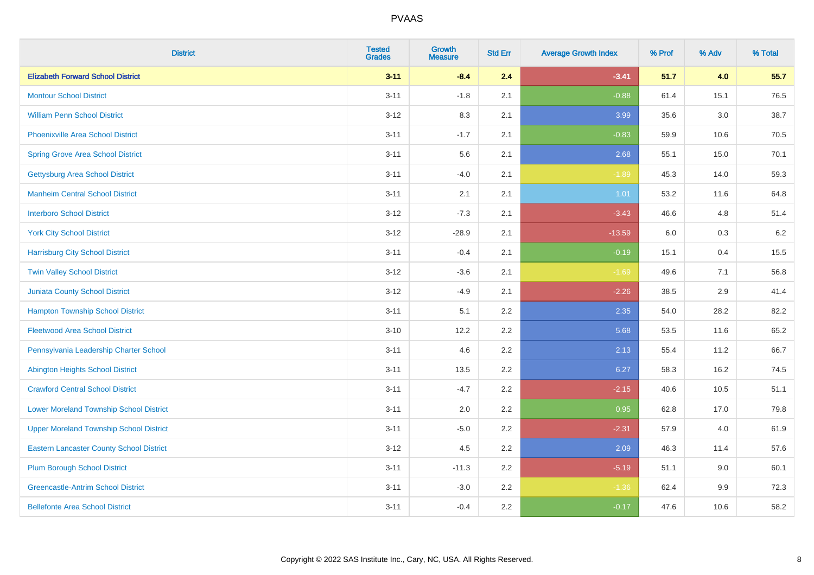| <b>District</b>                                 | <b>Tested</b><br><b>Grades</b> | Growth<br><b>Measure</b> | <b>Std Err</b> | <b>Average Growth Index</b> | % Prof | % Adv | % Total |
|-------------------------------------------------|--------------------------------|--------------------------|----------------|-----------------------------|--------|-------|---------|
| <b>Elizabeth Forward School District</b>        | $3 - 11$                       | $-8.4$                   | 2.4            | $-3.41$                     | 51.7   | 4.0   | 55.7    |
| <b>Montour School District</b>                  | $3 - 11$                       | $-1.8$                   | 2.1            | $-0.88$                     | 61.4   | 15.1  | 76.5    |
| <b>William Penn School District</b>             | $3 - 12$                       | 8.3                      | 2.1            | 3.99                        | 35.6   | 3.0   | 38.7    |
| <b>Phoenixville Area School District</b>        | $3 - 11$                       | $-1.7$                   | 2.1            | $-0.83$                     | 59.9   | 10.6  | 70.5    |
| <b>Spring Grove Area School District</b>        | $3 - 11$                       | 5.6                      | 2.1            | 2.68                        | 55.1   | 15.0  | 70.1    |
| <b>Gettysburg Area School District</b>          | $3 - 11$                       | $-4.0$                   | 2.1            | $-1.89$                     | 45.3   | 14.0  | 59.3    |
| <b>Manheim Central School District</b>          | $3 - 11$                       | 2.1                      | 2.1            | 1.01                        | 53.2   | 11.6  | 64.8    |
| <b>Interboro School District</b>                | $3 - 12$                       | $-7.3$                   | 2.1            | $-3.43$                     | 46.6   | 4.8   | 51.4    |
| <b>York City School District</b>                | $3 - 12$                       | $-28.9$                  | 2.1            | $-13.59$                    | 6.0    | 0.3   | 6.2     |
| <b>Harrisburg City School District</b>          | $3 - 11$                       | $-0.4$                   | 2.1            | $-0.19$                     | 15.1   | 0.4   | 15.5    |
| <b>Twin Valley School District</b>              | $3 - 12$                       | $-3.6$                   | 2.1            | $-1.69$                     | 49.6   | 7.1   | 56.8    |
| <b>Juniata County School District</b>           | $3 - 12$                       | $-4.9$                   | 2.1            | $-2.26$                     | 38.5   | 2.9   | 41.4    |
| <b>Hampton Township School District</b>         | $3 - 11$                       | 5.1                      | 2.2            | 2.35                        | 54.0   | 28.2  | 82.2    |
| <b>Fleetwood Area School District</b>           | $3 - 10$                       | 12.2                     | 2.2            | 5.68                        | 53.5   | 11.6  | 65.2    |
| Pennsylvania Leadership Charter School          | $3 - 11$                       | 4.6                      | 2.2            | 2.13                        | 55.4   | 11.2  | 66.7    |
| <b>Abington Heights School District</b>         | $3 - 11$                       | 13.5                     | 2.2            | 6.27                        | 58.3   | 16.2  | 74.5    |
| <b>Crawford Central School District</b>         | $3 - 11$                       | $-4.7$                   | 2.2            | $-2.15$                     | 40.6   | 10.5  | 51.1    |
| <b>Lower Moreland Township School District</b>  | $3 - 11$                       | 2.0                      | 2.2            | 0.95                        | 62.8   | 17.0  | 79.8    |
| <b>Upper Moreland Township School District</b>  | $3 - 11$                       | $-5.0$                   | 2.2            | $-2.31$                     | 57.9   | 4.0   | 61.9    |
| <b>Eastern Lancaster County School District</b> | $3 - 12$                       | 4.5                      | 2.2            | 2.09                        | 46.3   | 11.4  | 57.6    |
| <b>Plum Borough School District</b>             | $3 - 11$                       | $-11.3$                  | 2.2            | $-5.19$                     | 51.1   | 9.0   | 60.1    |
| <b>Greencastle-Antrim School District</b>       | $3 - 11$                       | $-3.0$                   | 2.2            | $-1.36$                     | 62.4   | 9.9   | 72.3    |
| <b>Bellefonte Area School District</b>          | $3 - 11$                       | $-0.4$                   | 2.2            | $-0.17$                     | 47.6   | 10.6  | 58.2    |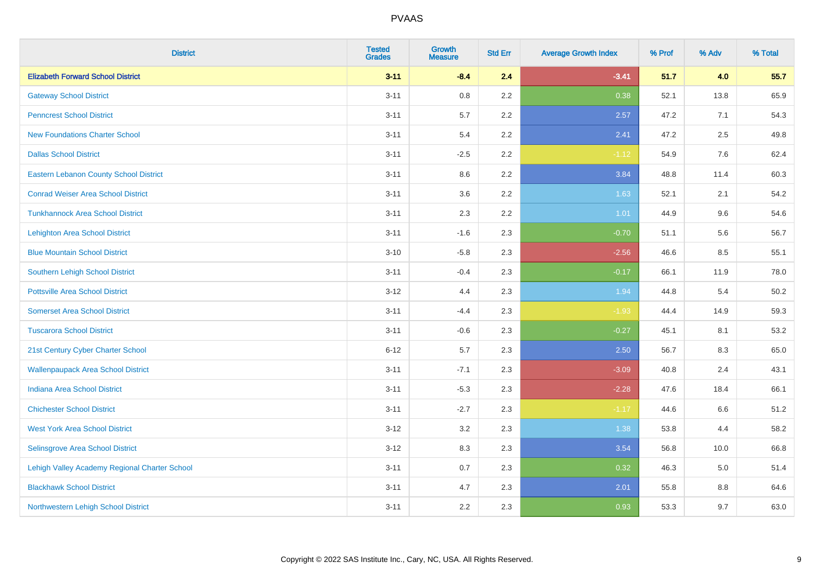| <b>District</b>                               | <b>Tested</b><br><b>Grades</b> | <b>Growth</b><br><b>Measure</b> | <b>Std Err</b> | <b>Average Growth Index</b> | % Prof | % Adv | % Total |
|-----------------------------------------------|--------------------------------|---------------------------------|----------------|-----------------------------|--------|-------|---------|
| <b>Elizabeth Forward School District</b>      | $3 - 11$                       | $-8.4$                          | 2.4            | $-3.41$                     | 51.7   | 4.0   | 55.7    |
| <b>Gateway School District</b>                | $3 - 11$                       | $0.8\,$                         | 2.2            | 0.38                        | 52.1   | 13.8  | 65.9    |
| <b>Penncrest School District</b>              | $3 - 11$                       | 5.7                             | 2.2            | 2.57                        | 47.2   | 7.1   | 54.3    |
| <b>New Foundations Charter School</b>         | $3 - 11$                       | 5.4                             | 2.2            | 2.41                        | 47.2   | 2.5   | 49.8    |
| <b>Dallas School District</b>                 | $3 - 11$                       | $-2.5$                          | 2.2            | $-1.12$                     | 54.9   | 7.6   | 62.4    |
| <b>Eastern Lebanon County School District</b> | $3 - 11$                       | 8.6                             | 2.2            | 3.84                        | 48.8   | 11.4  | 60.3    |
| <b>Conrad Weiser Area School District</b>     | $3 - 11$                       | 3.6                             | 2.2            | 1.63                        | 52.1   | 2.1   | 54.2    |
| <b>Tunkhannock Area School District</b>       | $3 - 11$                       | 2.3                             | 2.2            | 1.01                        | 44.9   | 9.6   | 54.6    |
| <b>Lehighton Area School District</b>         | $3 - 11$                       | $-1.6$                          | 2.3            | $-0.70$                     | 51.1   | 5.6   | 56.7    |
| <b>Blue Mountain School District</b>          | $3 - 10$                       | $-5.8$                          | 2.3            | $-2.56$                     | 46.6   | 8.5   | 55.1    |
| Southern Lehigh School District               | $3 - 11$                       | $-0.4$                          | 2.3            | $-0.17$                     | 66.1   | 11.9  | 78.0    |
| <b>Pottsville Area School District</b>        | $3 - 12$                       | 4.4                             | 2.3            | 1.94                        | 44.8   | 5.4   | 50.2    |
| <b>Somerset Area School District</b>          | $3 - 11$                       | $-4.4$                          | 2.3            | $-1.93$                     | 44.4   | 14.9  | 59.3    |
| <b>Tuscarora School District</b>              | $3 - 11$                       | $-0.6$                          | 2.3            | $-0.27$                     | 45.1   | 8.1   | 53.2    |
| 21st Century Cyber Charter School             | $6 - 12$                       | 5.7                             | 2.3            | 2.50                        | 56.7   | 8.3   | 65.0    |
| <b>Wallenpaupack Area School District</b>     | $3 - 11$                       | $-7.1$                          | 2.3            | $-3.09$                     | 40.8   | 2.4   | 43.1    |
| <b>Indiana Area School District</b>           | $3 - 11$                       | $-5.3$                          | 2.3            | $-2.28$                     | 47.6   | 18.4  | 66.1    |
| <b>Chichester School District</b>             | $3 - 11$                       | $-2.7$                          | 2.3            | $-1.17$                     | 44.6   | 6.6   | 51.2    |
| <b>West York Area School District</b>         | $3 - 12$                       | 3.2                             | 2.3            | 1.38                        | 53.8   | 4.4   | 58.2    |
| Selinsgrove Area School District              | $3 - 12$                       | 8.3                             | 2.3            | 3.54                        | 56.8   | 10.0  | 66.8    |
| Lehigh Valley Academy Regional Charter School | $3 - 11$                       | 0.7                             | 2.3            | 0.32                        | 46.3   | 5.0   | 51.4    |
| <b>Blackhawk School District</b>              | $3 - 11$                       | 4.7                             | 2.3            | 2.01                        | 55.8   | 8.8   | 64.6    |
| Northwestern Lehigh School District           | $3 - 11$                       | 2.2                             | 2.3            | 0.93                        | 53.3   | 9.7   | 63.0    |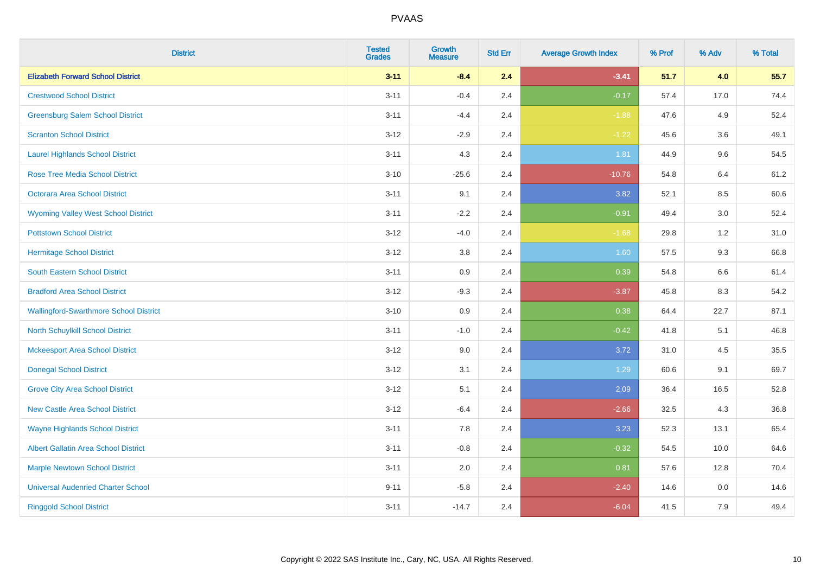| <b>District</b>                               | <b>Tested</b><br><b>Grades</b> | Growth<br><b>Measure</b> | <b>Std Err</b> | <b>Average Growth Index</b> | % Prof | % Adv   | % Total |
|-----------------------------------------------|--------------------------------|--------------------------|----------------|-----------------------------|--------|---------|---------|
| <b>Elizabeth Forward School District</b>      | $3 - 11$                       | $-8.4$                   | 2.4            | $-3.41$                     | 51.7   | 4.0     | 55.7    |
| <b>Crestwood School District</b>              | $3 - 11$                       | $-0.4$                   | 2.4            | $-0.17$                     | 57.4   | 17.0    | 74.4    |
| <b>Greensburg Salem School District</b>       | $3 - 11$                       | $-4.4$                   | 2.4            | $-1.88$                     | 47.6   | 4.9     | 52.4    |
| <b>Scranton School District</b>               | $3 - 12$                       | $-2.9$                   | 2.4            | $-1.22$                     | 45.6   | 3.6     | 49.1    |
| <b>Laurel Highlands School District</b>       | $3 - 11$                       | 4.3                      | 2.4            | 1.81                        | 44.9   | 9.6     | 54.5    |
| <b>Rose Tree Media School District</b>        | $3 - 10$                       | $-25.6$                  | 2.4            | $-10.76$                    | 54.8   | 6.4     | 61.2    |
| Octorara Area School District                 | $3 - 11$                       | 9.1                      | 2.4            | 3.82                        | 52.1   | 8.5     | 60.6    |
| <b>Wyoming Valley West School District</b>    | $3 - 11$                       | $-2.2$                   | 2.4            | $-0.91$                     | 49.4   | 3.0     | 52.4    |
| <b>Pottstown School District</b>              | $3 - 12$                       | $-4.0$                   | 2.4            | $-1.68$                     | 29.8   | 1.2     | 31.0    |
| <b>Hermitage School District</b>              | $3 - 12$                       | 3.8                      | 2.4            | 1.60                        | 57.5   | 9.3     | 66.8    |
| South Eastern School District                 | $3 - 11$                       | 0.9                      | 2.4            | 0.39                        | 54.8   | 6.6     | 61.4    |
| <b>Bradford Area School District</b>          | $3-12$                         | $-9.3$                   | 2.4            | $-3.87$                     | 45.8   | 8.3     | 54.2    |
| <b>Wallingford-Swarthmore School District</b> | $3 - 10$                       | 0.9                      | 2.4            | 0.38                        | 64.4   | 22.7    | 87.1    |
| <b>North Schuylkill School District</b>       | $3 - 11$                       | $-1.0$                   | 2.4            | $-0.42$                     | 41.8   | 5.1     | 46.8    |
| <b>Mckeesport Area School District</b>        | $3 - 12$                       | 9.0                      | 2.4            | 3.72                        | 31.0   | 4.5     | 35.5    |
| <b>Donegal School District</b>                | $3 - 12$                       | 3.1                      | 2.4            | 1.29                        | 60.6   | 9.1     | 69.7    |
| <b>Grove City Area School District</b>        | $3 - 12$                       | 5.1                      | 2.4            | 2.09                        | 36.4   | 16.5    | 52.8    |
| <b>New Castle Area School District</b>        | $3 - 12$                       | $-6.4$                   | 2.4            | $-2.66$                     | 32.5   | 4.3     | 36.8    |
| <b>Wayne Highlands School District</b>        | $3 - 11$                       | 7.8                      | 2.4            | 3.23                        | 52.3   | 13.1    | 65.4    |
| Albert Gallatin Area School District          | $3 - 11$                       | $-0.8$                   | 2.4            | $-0.32$                     | 54.5   | 10.0    | 64.6    |
| <b>Marple Newtown School District</b>         | $3 - 11$                       | 2.0                      | 2.4            | 0.81                        | 57.6   | 12.8    | 70.4    |
| <b>Universal Audenried Charter School</b>     | $9 - 11$                       | $-5.8$                   | 2.4            | $-2.40$                     | 14.6   | $0.0\,$ | 14.6    |
| <b>Ringgold School District</b>               | $3 - 11$                       | $-14.7$                  | 2.4            | $-6.04$                     | 41.5   | 7.9     | 49.4    |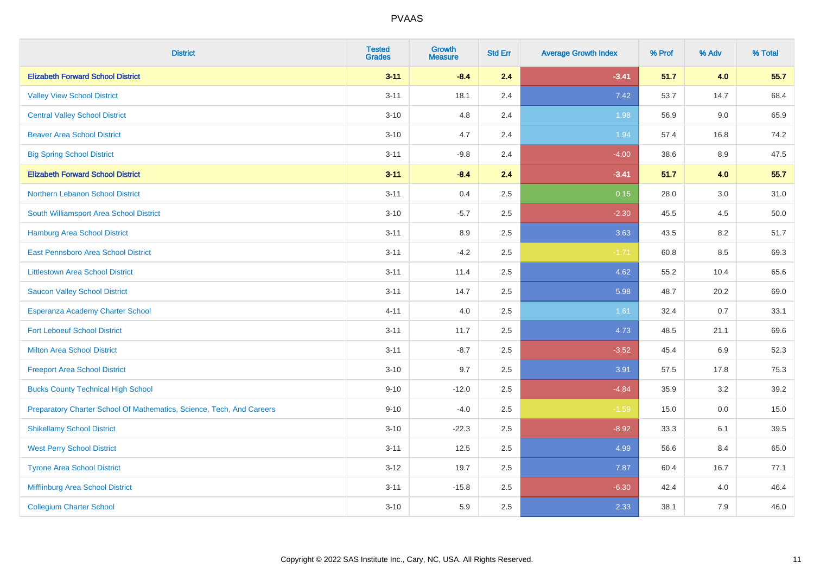| <b>District</b>                                                       | <b>Tested</b><br><b>Grades</b> | <b>Growth</b><br><b>Measure</b> | <b>Std Err</b> | <b>Average Growth Index</b> | % Prof | % Adv | % Total |
|-----------------------------------------------------------------------|--------------------------------|---------------------------------|----------------|-----------------------------|--------|-------|---------|
| <b>Elizabeth Forward School District</b>                              | $3 - 11$                       | $-8.4$                          | 2.4            | $-3.41$                     | 51.7   | 4.0   | 55.7    |
| <b>Valley View School District</b>                                    | $3 - 11$                       | 18.1                            | 2.4            | 7.42                        | 53.7   | 14.7  | 68.4    |
| <b>Central Valley School District</b>                                 | $3 - 10$                       | 4.8                             | 2.4            | 1.98                        | 56.9   | 9.0   | 65.9    |
| <b>Beaver Area School District</b>                                    | $3 - 10$                       | 4.7                             | 2.4            | 1.94                        | 57.4   | 16.8  | 74.2    |
| <b>Big Spring School District</b>                                     | $3 - 11$                       | $-9.8$                          | 2.4            | $-4.00$                     | 38.6   | 8.9   | 47.5    |
| <b>Elizabeth Forward School District</b>                              | $3 - 11$                       | $-8.4$                          | 2.4            | $-3.41$                     | 51.7   | 4.0   | 55.7    |
| Northern Lebanon School District                                      | $3 - 11$                       | 0.4                             | 2.5            | 0.15                        | 28.0   | 3.0   | 31.0    |
| South Williamsport Area School District                               | $3 - 10$                       | $-5.7$                          | 2.5            | $-2.30$                     | 45.5   | 4.5   | 50.0    |
| <b>Hamburg Area School District</b>                                   | $3 - 11$                       | 8.9                             | 2.5            | 3.63                        | 43.5   | 8.2   | 51.7    |
| East Pennsboro Area School District                                   | $3 - 11$                       | $-4.2$                          | 2.5            | $-1.71$                     | 60.8   | 8.5   | 69.3    |
| <b>Littlestown Area School District</b>                               | $3 - 11$                       | 11.4                            | 2.5            | 4.62                        | 55.2   | 10.4  | 65.6    |
| <b>Saucon Valley School District</b>                                  | $3 - 11$                       | 14.7                            | 2.5            | 5.98                        | 48.7   | 20.2  | 69.0    |
| Esperanza Academy Charter School                                      | $4 - 11$                       | 4.0                             | 2.5            | 1.61                        | 32.4   | 0.7   | 33.1    |
| <b>Fort Leboeuf School District</b>                                   | $3 - 11$                       | 11.7                            | 2.5            | 4.73                        | 48.5   | 21.1  | 69.6    |
| <b>Milton Area School District</b>                                    | $3 - 11$                       | $-8.7$                          | 2.5            | $-3.52$                     | 45.4   | 6.9   | 52.3    |
| <b>Freeport Area School District</b>                                  | $3 - 10$                       | 9.7                             | 2.5            | 3.91                        | 57.5   | 17.8  | 75.3    |
| <b>Bucks County Technical High School</b>                             | $9 - 10$                       | $-12.0$                         | 2.5            | $-4.84$                     | 35.9   | 3.2   | 39.2    |
| Preparatory Charter School Of Mathematics, Science, Tech, And Careers | $9 - 10$                       | $-4.0$                          | 2.5            | $-1.59$                     | 15.0   | 0.0   | 15.0    |
| <b>Shikellamy School District</b>                                     | $3 - 10$                       | $-22.3$                         | 2.5            | $-8.92$                     | 33.3   | 6.1   | 39.5    |
| <b>West Perry School District</b>                                     | $3 - 11$                       | 12.5                            | 2.5            | 4.99                        | 56.6   | 8.4   | 65.0    |
| <b>Tyrone Area School District</b>                                    | $3 - 12$                       | 19.7                            | 2.5            | 7.87                        | 60.4   | 16.7  | 77.1    |
| Mifflinburg Area School District                                      | $3 - 11$                       | $-15.8$                         | 2.5            | $-6.30$                     | 42.4   | 4.0   | 46.4    |
| <b>Collegium Charter School</b>                                       | $3 - 10$                       | 5.9                             | 2.5            | 2.33                        | 38.1   | 7.9   | 46.0    |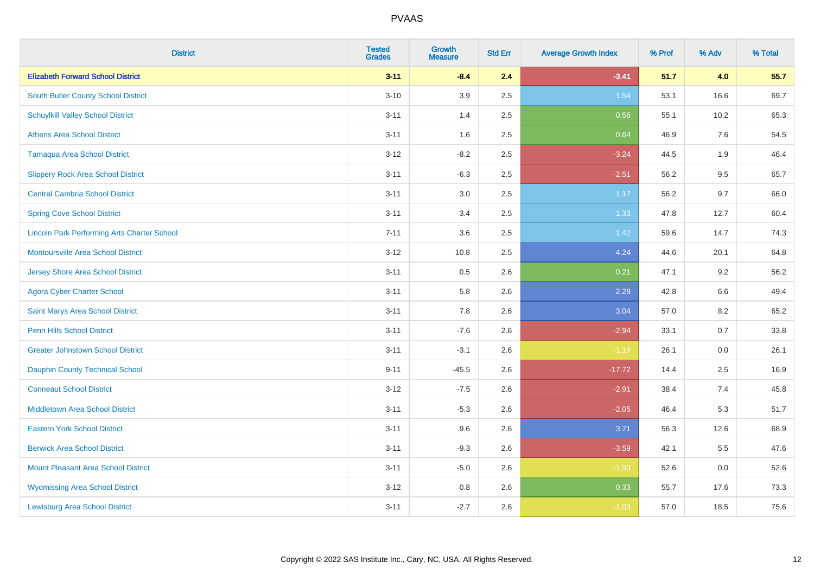| <b>District</b>                                    | <b>Tested</b><br><b>Grades</b> | <b>Growth</b><br><b>Measure</b> | <b>Std Err</b> | <b>Average Growth Index</b> | % Prof | % Adv   | % Total |
|----------------------------------------------------|--------------------------------|---------------------------------|----------------|-----------------------------|--------|---------|---------|
| <b>Elizabeth Forward School District</b>           | $3 - 11$                       | $-8.4$                          | 2.4            | $-3.41$                     | 51.7   | 4.0     | 55.7    |
| South Butler County School District                | $3 - 10$                       | 3.9                             | 2.5            | 1.54                        | 53.1   | 16.6    | 69.7    |
| <b>Schuylkill Valley School District</b>           | $3 - 11$                       | 1.4                             | 2.5            | 0.56                        | 55.1   | 10.2    | 65.3    |
| <b>Athens Area School District</b>                 | $3 - 11$                       | 1.6                             | 2.5            | 0.64                        | 46.9   | 7.6     | 54.5    |
| <b>Tamaqua Area School District</b>                | $3 - 12$                       | $-8.2$                          | 2.5            | $-3.24$                     | 44.5   | 1.9     | 46.4    |
| <b>Slippery Rock Area School District</b>          | $3 - 11$                       | $-6.3$                          | 2.5            | $-2.51$                     | 56.2   | 9.5     | 65.7    |
| <b>Central Cambria School District</b>             | $3 - 11$                       | 3.0                             | 2.5            | 1.17                        | 56.2   | 9.7     | 66.0    |
| <b>Spring Cove School District</b>                 | $3 - 11$                       | 3.4                             | 2.5            | 1.33                        | 47.8   | 12.7    | 60.4    |
| <b>Lincoln Park Performing Arts Charter School</b> | $7 - 11$                       | 3.6                             | 2.5            | 1.42                        | 59.6   | 14.7    | 74.3    |
| <b>Montoursville Area School District</b>          | $3 - 12$                       | 10.8                            | 2.5            | 4.24                        | 44.6   | 20.1    | 64.8    |
| <b>Jersey Shore Area School District</b>           | $3 - 11$                       | 0.5                             | 2.6            | 0.21                        | 47.1   | 9.2     | 56.2    |
| <b>Agora Cyber Charter School</b>                  | $3 - 11$                       | 5.8                             | 2.6            | 2.28                        | 42.8   | 6.6     | 49.4    |
| Saint Marys Area School District                   | $3 - 11$                       | 7.8                             | 2.6            | 3.04                        | 57.0   | $8.2\,$ | 65.2    |
| <b>Penn Hills School District</b>                  | $3 - 11$                       | $-7.6$                          | 2.6            | $-2.94$                     | 33.1   | 0.7     | 33.8    |
| <b>Greater Johnstown School District</b>           | $3 - 11$                       | $-3.1$                          | 2.6            | $-1.19$                     | 26.1   | 0.0     | 26.1    |
| <b>Dauphin County Technical School</b>             | $9 - 11$                       | $-45.5$                         | 2.6            | $-17.72$                    | 14.4   | 2.5     | 16.9    |
| <b>Conneaut School District</b>                    | $3 - 12$                       | $-7.5$                          | 2.6            | $-2.91$                     | 38.4   | 7.4     | 45.8    |
| <b>Middletown Area School District</b>             | $3 - 11$                       | $-5.3$                          | 2.6            | $-2.05$                     | 46.4   | 5.3     | 51.7    |
| <b>Eastern York School District</b>                | $3 - 11$                       | 9.6                             | 2.6            | 3.71                        | 56.3   | 12.6    | 68.9    |
| <b>Berwick Area School District</b>                | $3 - 11$                       | $-9.3$                          | 2.6            | $-3.59$                     | 42.1   | 5.5     | 47.6    |
| <b>Mount Pleasant Area School District</b>         | $3 - 11$                       | $-5.0$                          | 2.6            | $-1.93$                     | 52.6   | 0.0     | 52.6    |
| <b>Wyomissing Area School District</b>             | $3 - 12$                       | $0.8\,$                         | 2.6            | 0.33                        | 55.7   | 17.6    | 73.3    |
| <b>Lewisburg Area School District</b>              | $3 - 11$                       | $-2.7$                          | 2.6            | $-1.03$                     | 57.0   | 18.5    | 75.6    |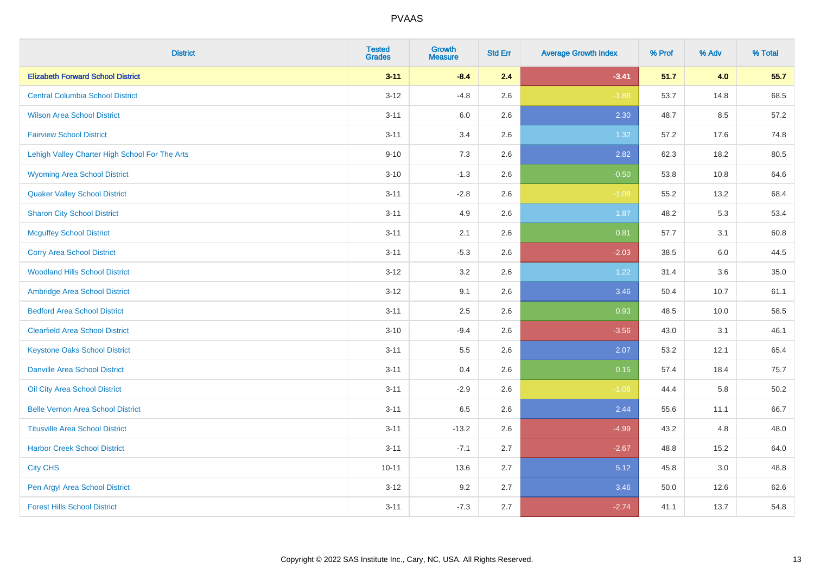| <b>District</b>                                | <b>Tested</b><br><b>Grades</b> | <b>Growth</b><br><b>Measure</b> | <b>Std Err</b> | <b>Average Growth Index</b> | % Prof | % Adv | % Total |
|------------------------------------------------|--------------------------------|---------------------------------|----------------|-----------------------------|--------|-------|---------|
| <b>Elizabeth Forward School District</b>       | $3 - 11$                       | $-8.4$                          | 2.4            | $-3.41$                     | 51.7   | 4.0   | 55.7    |
| <b>Central Columbia School District</b>        | $3 - 12$                       | $-4.8$                          | 2.6            | $-1.86$                     | 53.7   | 14.8  | 68.5    |
| <b>Wilson Area School District</b>             | $3 - 11$                       | 6.0                             | 2.6            | 2.30                        | 48.7   | 8.5   | 57.2    |
| <b>Fairview School District</b>                | $3 - 11$                       | 3.4                             | 2.6            | 1.32                        | 57.2   | 17.6  | 74.8    |
| Lehigh Valley Charter High School For The Arts | $9 - 10$                       | 7.3                             | 2.6            | 2.82                        | 62.3   | 18.2  | 80.5    |
| <b>Wyoming Area School District</b>            | $3 - 10$                       | $-1.3$                          | 2.6            | $-0.50$                     | 53.8   | 10.8  | 64.6    |
| <b>Quaker Valley School District</b>           | $3 - 11$                       | $-2.8$                          | 2.6            | $-1.08$                     | 55.2   | 13.2  | 68.4    |
| <b>Sharon City School District</b>             | $3 - 11$                       | 4.9                             | 2.6            | 1.87                        | 48.2   | 5.3   | 53.4    |
| <b>Mcguffey School District</b>                | $3 - 11$                       | 2.1                             | 2.6            | 0.81                        | 57.7   | 3.1   | 60.8    |
| <b>Corry Area School District</b>              | $3 - 11$                       | $-5.3$                          | 2.6            | $-2.03$                     | 38.5   | 6.0   | 44.5    |
| <b>Woodland Hills School District</b>          | $3 - 12$                       | 3.2                             | 2.6            | 1.22                        | 31.4   | 3.6   | 35.0    |
| Ambridge Area School District                  | $3 - 12$                       | 9.1                             | 2.6            | 3.46                        | 50.4   | 10.7  | 61.1    |
| <b>Bedford Area School District</b>            | $3 - 11$                       | $2.5\,$                         | 2.6            | 0.93                        | 48.5   | 10.0  | 58.5    |
| <b>Clearfield Area School District</b>         | $3 - 10$                       | $-9.4$                          | 2.6            | $-3.56$                     | 43.0   | 3.1   | 46.1    |
| <b>Keystone Oaks School District</b>           | $3 - 11$                       | 5.5                             | 2.6            | 2.07                        | 53.2   | 12.1  | 65.4    |
| <b>Danville Area School District</b>           | $3 - 11$                       | 0.4                             | 2.6            | 0.15                        | 57.4   | 18.4  | 75.7    |
| Oil City Area School District                  | $3 - 11$                       | $-2.9$                          | 2.6            | $-1.08$                     | 44.4   | 5.8   | 50.2    |
| <b>Belle Vernon Area School District</b>       | $3 - 11$                       | 6.5                             | 2.6            | 2.44                        | 55.6   | 11.1  | 66.7    |
| <b>Titusville Area School District</b>         | $3 - 11$                       | $-13.2$                         | 2.6            | $-4.99$                     | 43.2   | 4.8   | 48.0    |
| <b>Harbor Creek School District</b>            | $3 - 11$                       | $-7.1$                          | 2.7            | $-2.67$                     | 48.8   | 15.2  | 64.0    |
| <b>City CHS</b>                                | $10 - 11$                      | 13.6                            | 2.7            | 5.12                        | 45.8   | 3.0   | 48.8    |
| Pen Argyl Area School District                 | $3 - 12$                       | 9.2                             | 2.7            | 3.46                        | 50.0   | 12.6  | 62.6    |
| <b>Forest Hills School District</b>            | $3 - 11$                       | $-7.3$                          | 2.7            | $-2.74$                     | 41.1   | 13.7  | 54.8    |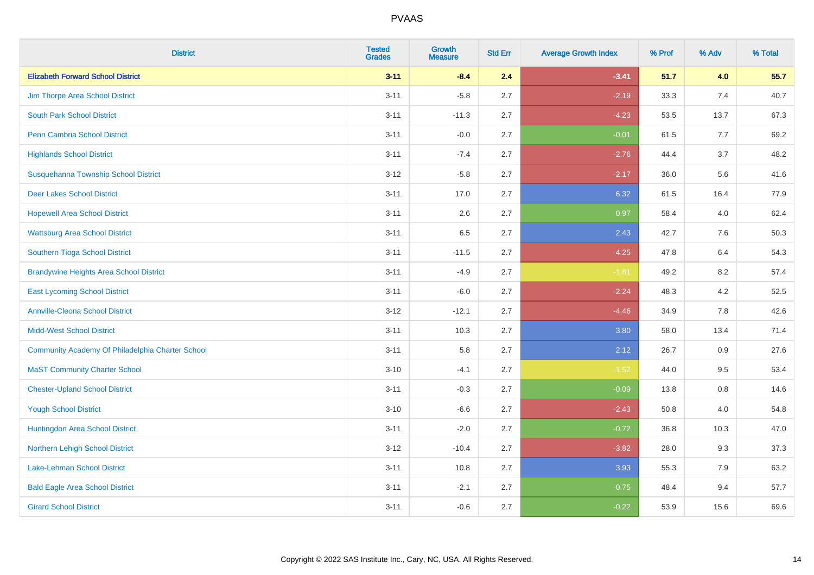| <b>District</b>                                  | <b>Tested</b><br><b>Grades</b> | Growth<br><b>Measure</b> | <b>Std Err</b> | <b>Average Growth Index</b> | % Prof | % Adv | % Total |
|--------------------------------------------------|--------------------------------|--------------------------|----------------|-----------------------------|--------|-------|---------|
| <b>Elizabeth Forward School District</b>         | $3 - 11$                       | $-8.4$                   | 2.4            | $-3.41$                     | 51.7   | 4.0   | 55.7    |
| Jim Thorpe Area School District                  | $3 - 11$                       | $-5.8$                   | 2.7            | $-2.19$                     | 33.3   | 7.4   | 40.7    |
| <b>South Park School District</b>                | $3 - 11$                       | $-11.3$                  | 2.7            | $-4.23$                     | 53.5   | 13.7  | 67.3    |
| <b>Penn Cambria School District</b>              | $3 - 11$                       | $-0.0$                   | 2.7            | $-0.01$                     | 61.5   | 7.7   | 69.2    |
| <b>Highlands School District</b>                 | $3 - 11$                       | $-7.4$                   | 2.7            | $-2.76$                     | 44.4   | 3.7   | 48.2    |
| Susquehanna Township School District             | $3 - 12$                       | $-5.8$                   | 2.7            | $-2.17$                     | 36.0   | 5.6   | 41.6    |
| <b>Deer Lakes School District</b>                | $3 - 11$                       | 17.0                     | 2.7            | 6.32                        | 61.5   | 16.4  | 77.9    |
| <b>Hopewell Area School District</b>             | $3 - 11$                       | 2.6                      | 2.7            | 0.97                        | 58.4   | 4.0   | 62.4    |
| <b>Wattsburg Area School District</b>            | $3 - 11$                       | 6.5                      | 2.7            | 2.43                        | 42.7   | 7.6   | 50.3    |
| Southern Tioga School District                   | $3 - 11$                       | $-11.5$                  | 2.7            | $-4.25$                     | 47.8   | 6.4   | 54.3    |
| <b>Brandywine Heights Area School District</b>   | $3 - 11$                       | $-4.9$                   | 2.7            | $-1.81$                     | 49.2   | 8.2   | 57.4    |
| <b>East Lycoming School District</b>             | $3 - 11$                       | $-6.0$                   | 2.7            | $-2.24$                     | 48.3   | 4.2   | 52.5    |
| <b>Annville-Cleona School District</b>           | $3 - 12$                       | $-12.1$                  | 2.7            | $-4.46$                     | 34.9   | 7.8   | 42.6    |
| <b>Midd-West School District</b>                 | $3 - 11$                       | 10.3                     | 2.7            | 3.80                        | 58.0   | 13.4  | 71.4    |
| Community Academy Of Philadelphia Charter School | $3 - 11$                       | 5.8                      | 2.7            | 2.12                        | 26.7   | 0.9   | 27.6    |
| <b>MaST Community Charter School</b>             | $3 - 10$                       | $-4.1$                   | 2.7            | $-1.52$                     | 44.0   | 9.5   | 53.4    |
| <b>Chester-Upland School District</b>            | $3 - 11$                       | $-0.3$                   | 2.7            | $-0.09$                     | 13.8   | 0.8   | 14.6    |
| <b>Yough School District</b>                     | $3 - 10$                       | $-6.6$                   | 2.7            | $-2.43$                     | 50.8   | 4.0   | 54.8    |
| Huntingdon Area School District                  | $3 - 11$                       | $-2.0$                   | 2.7            | $-0.72$                     | 36.8   | 10.3  | 47.0    |
| Northern Lehigh School District                  | $3 - 12$                       | $-10.4$                  | 2.7            | $-3.82$                     | 28.0   | 9.3   | 37.3    |
| <b>Lake-Lehman School District</b>               | $3 - 11$                       | 10.8                     | 2.7            | 3.93                        | 55.3   | 7.9   | 63.2    |
| <b>Bald Eagle Area School District</b>           | $3 - 11$                       | $-2.1$                   | 2.7            | $-0.75$                     | 48.4   | 9.4   | 57.7    |
| <b>Girard School District</b>                    | $3 - 11$                       | $-0.6$                   | 2.7            | $-0.22$                     | 53.9   | 15.6  | 69.6    |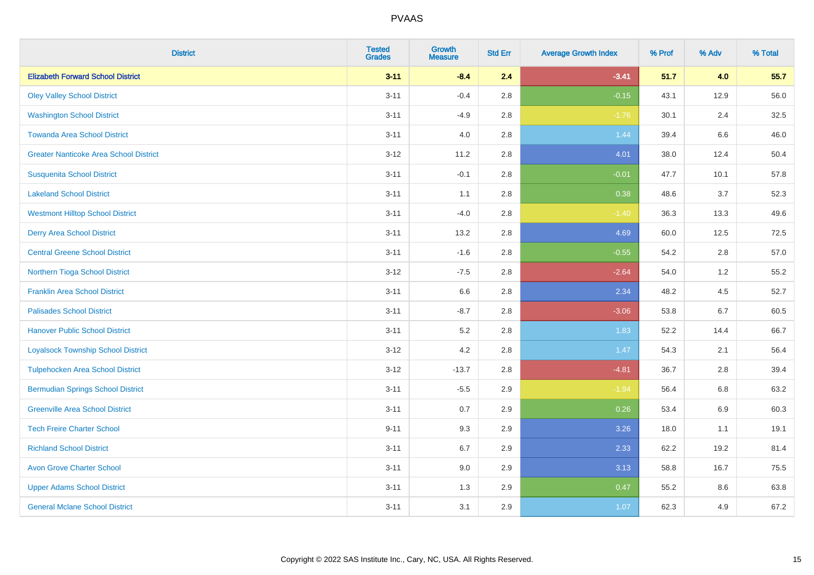| <b>District</b>                               | <b>Tested</b><br><b>Grades</b> | <b>Growth</b><br><b>Measure</b> | <b>Std Err</b> | <b>Average Growth Index</b> | % Prof | % Adv   | % Total |
|-----------------------------------------------|--------------------------------|---------------------------------|----------------|-----------------------------|--------|---------|---------|
| <b>Elizabeth Forward School District</b>      | $3 - 11$                       | $-8.4$                          | 2.4            | $-3.41$                     | 51.7   | 4.0     | 55.7    |
| <b>Oley Valley School District</b>            | $3 - 11$                       | $-0.4$                          | 2.8            | $-0.15$                     | 43.1   | 12.9    | 56.0    |
| <b>Washington School District</b>             | $3 - 11$                       | $-4.9$                          | 2.8            | $-1.76$                     | 30.1   | 2.4     | 32.5    |
| <b>Towanda Area School District</b>           | $3 - 11$                       | 4.0                             | 2.8            | 1.44                        | 39.4   | $6.6\,$ | 46.0    |
| <b>Greater Nanticoke Area School District</b> | $3 - 12$                       | 11.2                            | 2.8            | 4.01                        | 38.0   | 12.4    | 50.4    |
| <b>Susquenita School District</b>             | $3 - 11$                       | $-0.1$                          | 2.8            | $-0.01$                     | 47.7   | 10.1    | 57.8    |
| <b>Lakeland School District</b>               | $3 - 11$                       | 1.1                             | 2.8            | 0.38                        | 48.6   | 3.7     | 52.3    |
| <b>Westmont Hilltop School District</b>       | $3 - 11$                       | $-4.0$                          | 2.8            | $-1.40$                     | 36.3   | 13.3    | 49.6    |
| <b>Derry Area School District</b>             | $3 - 11$                       | 13.2                            | 2.8            | 4.69                        | 60.0   | 12.5    | 72.5    |
| <b>Central Greene School District</b>         | $3 - 11$                       | $-1.6$                          | 2.8            | $-0.55$                     | 54.2   | 2.8     | 57.0    |
| Northern Tioga School District                | $3 - 12$                       | $-7.5$                          | 2.8            | $-2.64$                     | 54.0   | 1.2     | 55.2    |
| <b>Franklin Area School District</b>          | $3 - 11$                       | 6.6                             | 2.8            | 2.34                        | 48.2   | 4.5     | 52.7    |
| <b>Palisades School District</b>              | $3 - 11$                       | $-8.7$                          | 2.8            | $-3.06$                     | 53.8   | 6.7     | 60.5    |
| <b>Hanover Public School District</b>         | $3 - 11$                       | 5.2                             | 2.8            | 1.83                        | 52.2   | 14.4    | 66.7    |
| <b>Loyalsock Township School District</b>     | $3 - 12$                       | 4.2                             | 2.8            | 1.47                        | 54.3   | 2.1     | 56.4    |
| <b>Tulpehocken Area School District</b>       | $3 - 12$                       | $-13.7$                         | 2.8            | $-4.81$                     | 36.7   | 2.8     | 39.4    |
| <b>Bermudian Springs School District</b>      | $3 - 11$                       | $-5.5$                          | 2.9            | $-1.94$                     | 56.4   | 6.8     | 63.2    |
| <b>Greenville Area School District</b>        | $3 - 11$                       | 0.7                             | 2.9            | 0.26                        | 53.4   | 6.9     | 60.3    |
| <b>Tech Freire Charter School</b>             | $9 - 11$                       | 9.3                             | 2.9            | 3.26                        | 18.0   | 1.1     | 19.1    |
| <b>Richland School District</b>               | $3 - 11$                       | 6.7                             | 2.9            | 2.33                        | 62.2   | 19.2    | 81.4    |
| <b>Avon Grove Charter School</b>              | $3 - 11$                       | 9.0                             | 2.9            | 3.13                        | 58.8   | 16.7    | 75.5    |
| <b>Upper Adams School District</b>            | $3 - 11$                       | 1.3                             | 2.9            | 0.47                        | 55.2   | 8.6     | 63.8    |
| <b>General Mclane School District</b>         | $3 - 11$                       | 3.1                             | 2.9            | 1.07                        | 62.3   | 4.9     | 67.2    |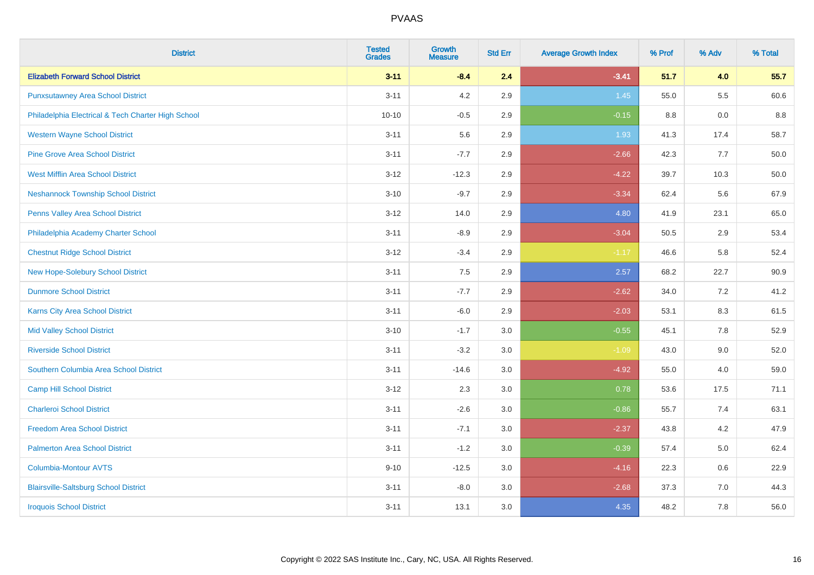| <b>District</b>                                    | <b>Tested</b><br><b>Grades</b> | <b>Growth</b><br><b>Measure</b> | <b>Std Err</b> | <b>Average Growth Index</b> | % Prof | % Adv   | % Total |
|----------------------------------------------------|--------------------------------|---------------------------------|----------------|-----------------------------|--------|---------|---------|
| <b>Elizabeth Forward School District</b>           | $3 - 11$                       | $-8.4$                          | 2.4            | $-3.41$                     | 51.7   | 4.0     | 55.7    |
| <b>Punxsutawney Area School District</b>           | $3 - 11$                       | 4.2                             | 2.9            | 1.45                        | 55.0   | $5.5\,$ | 60.6    |
| Philadelphia Electrical & Tech Charter High School | $10 - 10$                      | $-0.5$                          | 2.9            | $-0.15$                     | 8.8    | 0.0     | 8.8     |
| <b>Western Wayne School District</b>               | $3 - 11$                       | 5.6                             | 2.9            | 1.93                        | 41.3   | 17.4    | 58.7    |
| <b>Pine Grove Area School District</b>             | $3 - 11$                       | $-7.7$                          | 2.9            | $-2.66$                     | 42.3   | 7.7     | 50.0    |
| <b>West Mifflin Area School District</b>           | $3 - 12$                       | $-12.3$                         | 2.9            | $-4.22$                     | 39.7   | 10.3    | 50.0    |
| <b>Neshannock Township School District</b>         | $3 - 10$                       | $-9.7$                          | 2.9            | $-3.34$                     | 62.4   | 5.6     | 67.9    |
| <b>Penns Valley Area School District</b>           | $3 - 12$                       | 14.0                            | 2.9            | 4.80                        | 41.9   | 23.1    | 65.0    |
| Philadelphia Academy Charter School                | $3 - 11$                       | $-8.9$                          | 2.9            | $-3.04$                     | 50.5   | 2.9     | 53.4    |
| <b>Chestnut Ridge School District</b>              | $3 - 12$                       | $-3.4$                          | 2.9            | $-1.17$                     | 46.6   | 5.8     | 52.4    |
| New Hope-Solebury School District                  | $3 - 11$                       | 7.5                             | 2.9            | 2.57                        | 68.2   | 22.7    | 90.9    |
| <b>Dunmore School District</b>                     | $3 - 11$                       | $-7.7$                          | 2.9            | $-2.62$                     | 34.0   | 7.2     | 41.2    |
| Karns City Area School District                    | $3 - 11$                       | $-6.0$                          | 2.9            | $-2.03$                     | 53.1   | $8.3\,$ | 61.5    |
| <b>Mid Valley School District</b>                  | $3 - 10$                       | $-1.7$                          | 3.0            | $-0.55$                     | 45.1   | $7.8\,$ | 52.9    |
| <b>Riverside School District</b>                   | $3 - 11$                       | $-3.2$                          | 3.0            | $-1.09$                     | 43.0   | 9.0     | 52.0    |
| Southern Columbia Area School District             | $3 - 11$                       | $-14.6$                         | 3.0            | $-4.92$                     | 55.0   | 4.0     | 59.0    |
| <b>Camp Hill School District</b>                   | $3 - 12$                       | 2.3                             | 3.0            | 0.78                        | 53.6   | 17.5    | 71.1    |
| <b>Charleroi School District</b>                   | $3 - 11$                       | $-2.6$                          | 3.0            | $-0.86$                     | 55.7   | 7.4     | 63.1    |
| <b>Freedom Area School District</b>                | $3 - 11$                       | $-7.1$                          | 3.0            | $-2.37$                     | 43.8   | 4.2     | 47.9    |
| <b>Palmerton Area School District</b>              | $3 - 11$                       | $-1.2$                          | 3.0            | $-0.39$                     | 57.4   | 5.0     | 62.4    |
| <b>Columbia-Montour AVTS</b>                       | $9 - 10$                       | $-12.5$                         | 3.0            | $-4.16$                     | 22.3   | 0.6     | 22.9    |
| <b>Blairsville-Saltsburg School District</b>       | $3 - 11$                       | $-8.0$                          | 3.0            | $-2.68$                     | 37.3   | 7.0     | 44.3    |
| <b>Iroquois School District</b>                    | $3 - 11$                       | 13.1                            | 3.0            | 4.35                        | 48.2   | 7.8     | 56.0    |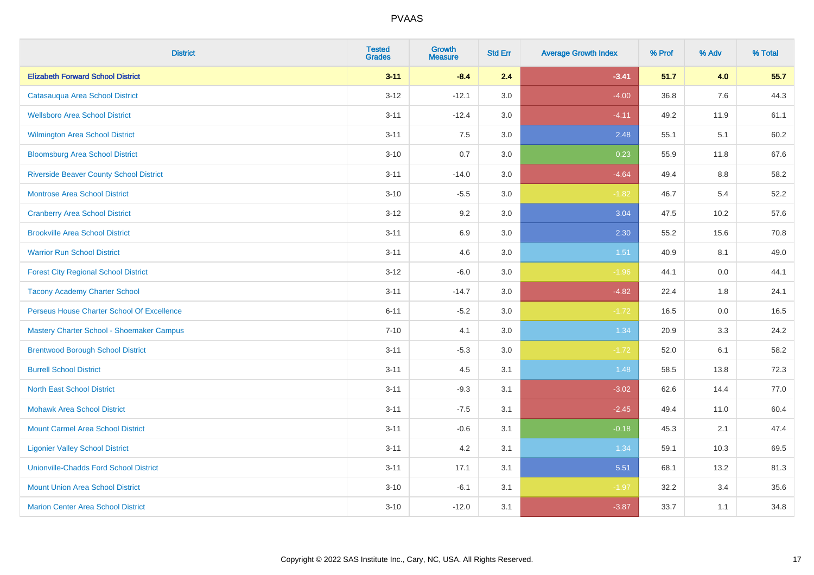| <b>District</b>                                | <b>Tested</b><br><b>Grades</b> | <b>Growth</b><br><b>Measure</b> | <b>Std Err</b> | <b>Average Growth Index</b> | % Prof | % Adv | % Total |
|------------------------------------------------|--------------------------------|---------------------------------|----------------|-----------------------------|--------|-------|---------|
| <b>Elizabeth Forward School District</b>       | $3 - 11$                       | $-8.4$                          | 2.4            | $-3.41$                     | 51.7   | 4.0   | 55.7    |
| Catasauqua Area School District                | $3 - 12$                       | $-12.1$                         | 3.0            | $-4.00$                     | 36.8   | 7.6   | 44.3    |
| <b>Wellsboro Area School District</b>          | $3 - 11$                       | $-12.4$                         | 3.0            | $-4.11$                     | 49.2   | 11.9  | 61.1    |
| <b>Wilmington Area School District</b>         | $3 - 11$                       | 7.5                             | 3.0            | 2.48                        | 55.1   | 5.1   | 60.2    |
| <b>Bloomsburg Area School District</b>         | $3 - 10$                       | 0.7                             | 3.0            | 0.23                        | 55.9   | 11.8  | 67.6    |
| <b>Riverside Beaver County School District</b> | $3 - 11$                       | $-14.0$                         | 3.0            | $-4.64$                     | 49.4   | 8.8   | 58.2    |
| <b>Montrose Area School District</b>           | $3 - 10$                       | $-5.5$                          | 3.0            | $-1.82$                     | 46.7   | 5.4   | 52.2    |
| <b>Cranberry Area School District</b>          | $3 - 12$                       | 9.2                             | 3.0            | 3.04                        | 47.5   | 10.2  | 57.6    |
| <b>Brookville Area School District</b>         | $3 - 11$                       | 6.9                             | 3.0            | 2.30                        | 55.2   | 15.6  | 70.8    |
| <b>Warrior Run School District</b>             | $3 - 11$                       | 4.6                             | 3.0            | 1.51                        | 40.9   | 8.1   | 49.0    |
| <b>Forest City Regional School District</b>    | $3 - 12$                       | $-6.0$                          | 3.0            | $-1.96$                     | 44.1   | 0.0   | 44.1    |
| <b>Tacony Academy Charter School</b>           | $3 - 11$                       | $-14.7$                         | 3.0            | $-4.82$                     | 22.4   | 1.8   | 24.1    |
| Perseus House Charter School Of Excellence     | $6 - 11$                       | $-5.2$                          | 3.0            | $-1.72$                     | 16.5   | 0.0   | 16.5    |
| Mastery Charter School - Shoemaker Campus      | $7 - 10$                       | 4.1                             | 3.0            | 1.34                        | 20.9   | 3.3   | 24.2    |
| <b>Brentwood Borough School District</b>       | $3 - 11$                       | $-5.3$                          | 3.0            | $-1.72$                     | 52.0   | 6.1   | 58.2    |
| <b>Burrell School District</b>                 | $3 - 11$                       | 4.5                             | 3.1            | 1.48                        | 58.5   | 13.8  | 72.3    |
| <b>North East School District</b>              | $3 - 11$                       | $-9.3$                          | 3.1            | $-3.02$                     | 62.6   | 14.4  | 77.0    |
| <b>Mohawk Area School District</b>             | $3 - 11$                       | $-7.5$                          | 3.1            | $-2.45$                     | 49.4   | 11.0  | 60.4    |
| <b>Mount Carmel Area School District</b>       | $3 - 11$                       | $-0.6$                          | 3.1            | $-0.18$                     | 45.3   | 2.1   | 47.4    |
| <b>Ligonier Valley School District</b>         | $3 - 11$                       | 4.2                             | 3.1            | 1.34                        | 59.1   | 10.3  | 69.5    |
| <b>Unionville-Chadds Ford School District</b>  | $3 - 11$                       | 17.1                            | 3.1            | 5.51                        | 68.1   | 13.2  | 81.3    |
| <b>Mount Union Area School District</b>        | $3 - 10$                       | $-6.1$                          | 3.1            | $-1.97$                     | 32.2   | 3.4   | 35.6    |
| <b>Marion Center Area School District</b>      | $3 - 10$                       | $-12.0$                         | 3.1            | $-3.87$                     | 33.7   | 1.1   | 34.8    |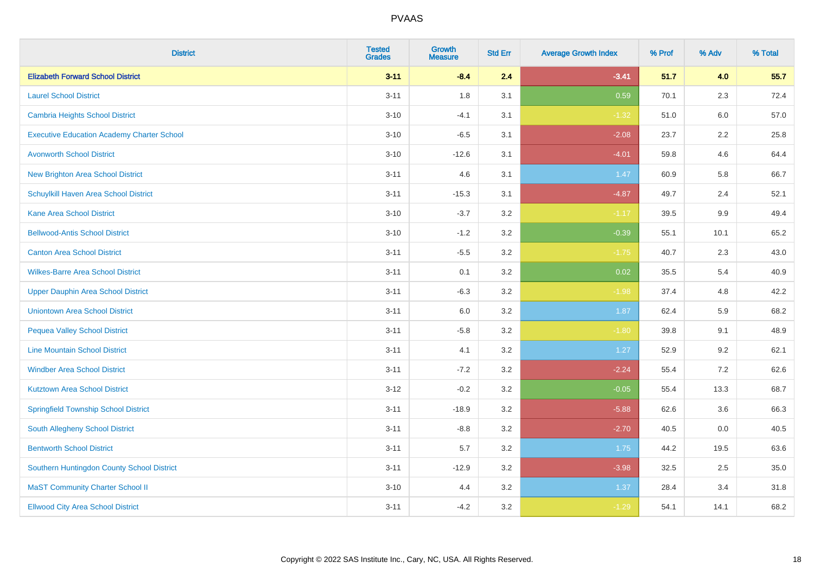| <b>District</b>                                   | <b>Tested</b><br><b>Grades</b> | Growth<br><b>Measure</b> | <b>Std Err</b> | <b>Average Growth Index</b> | % Prof | % Adv   | % Total |
|---------------------------------------------------|--------------------------------|--------------------------|----------------|-----------------------------|--------|---------|---------|
| <b>Elizabeth Forward School District</b>          | $3 - 11$                       | $-8.4$                   | 2.4            | $-3.41$                     | 51.7   | 4.0     | 55.7    |
| <b>Laurel School District</b>                     | $3 - 11$                       | 1.8                      | 3.1            | 0.59                        | 70.1   | 2.3     | 72.4    |
| Cambria Heights School District                   | $3 - 10$                       | $-4.1$                   | 3.1            | $-1.32$                     | 51.0   | 6.0     | 57.0    |
| <b>Executive Education Academy Charter School</b> | $3 - 10$                       | $-6.5$                   | 3.1            | $-2.08$                     | 23.7   | $2.2\,$ | 25.8    |
| <b>Avonworth School District</b>                  | $3 - 10$                       | $-12.6$                  | 3.1            | $-4.01$                     | 59.8   | 4.6     | 64.4    |
| <b>New Brighton Area School District</b>          | $3 - 11$                       | 4.6                      | 3.1            | 1.47                        | 60.9   | 5.8     | 66.7    |
| Schuylkill Haven Area School District             | $3 - 11$                       | $-15.3$                  | 3.1            | $-4.87$                     | 49.7   | 2.4     | 52.1    |
| <b>Kane Area School District</b>                  | $3 - 10$                       | $-3.7$                   | 3.2            | $-1.17$                     | 39.5   | 9.9     | 49.4    |
| <b>Bellwood-Antis School District</b>             | $3 - 10$                       | $-1.2$                   | 3.2            | $-0.39$                     | 55.1   | 10.1    | 65.2    |
| <b>Canton Area School District</b>                | $3 - 11$                       | $-5.5$                   | 3.2            | $-1.75$                     | 40.7   | 2.3     | 43.0    |
| <b>Wilkes-Barre Area School District</b>          | $3 - 11$                       | 0.1                      | 3.2            | 0.02                        | 35.5   | 5.4     | 40.9    |
| <b>Upper Dauphin Area School District</b>         | $3 - 11$                       | $-6.3$                   | 3.2            | $-1.98$                     | 37.4   | 4.8     | 42.2    |
| <b>Uniontown Area School District</b>             | $3 - 11$                       | 6.0                      | $3.2\,$        | 1.87                        | 62.4   | 5.9     | 68.2    |
| <b>Pequea Valley School District</b>              | $3 - 11$                       | $-5.8$                   | 3.2            | $-1.80$                     | 39.8   | 9.1     | 48.9    |
| <b>Line Mountain School District</b>              | $3 - 11$                       | 4.1                      | 3.2            | 1.27                        | 52.9   | 9.2     | 62.1    |
| <b>Windber Area School District</b>               | $3 - 11$                       | $-7.2$                   | 3.2            | $-2.24$                     | 55.4   | 7.2     | 62.6    |
| <b>Kutztown Area School District</b>              | $3 - 12$                       | $-0.2$                   | 3.2            | $-0.05$                     | 55.4   | 13.3    | 68.7    |
| <b>Springfield Township School District</b>       | $3 - 11$                       | $-18.9$                  | 3.2            | $-5.88$                     | 62.6   | 3.6     | 66.3    |
| South Allegheny School District                   | $3 - 11$                       | $-8.8$                   | 3.2            | $-2.70$                     | 40.5   | 0.0     | 40.5    |
| <b>Bentworth School District</b>                  | $3 - 11$                       | 5.7                      | 3.2            | 1.75                        | 44.2   | 19.5    | 63.6    |
| Southern Huntingdon County School District        | $3 - 11$                       | $-12.9$                  | 3.2            | $-3.98$                     | 32.5   | 2.5     | 35.0    |
| <b>MaST Community Charter School II</b>           | $3 - 10$                       | 4.4                      | 3.2            | 1.37                        | 28.4   | 3.4     | 31.8    |
| <b>Ellwood City Area School District</b>          | $3 - 11$                       | $-4.2$                   | 3.2            | $-1.29$                     | 54.1   | 14.1    | 68.2    |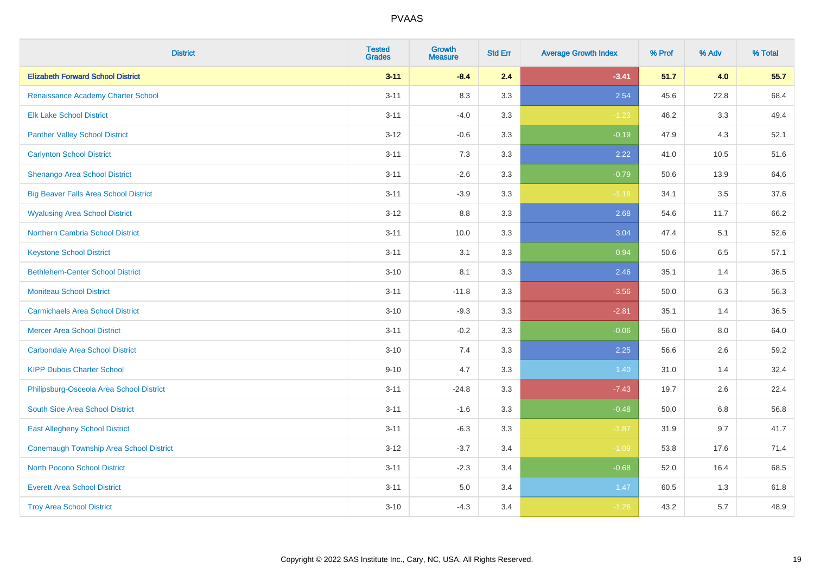| <b>District</b>                              | <b>Tested</b><br><b>Grades</b> | <b>Growth</b><br><b>Measure</b> | <b>Std Err</b> | <b>Average Growth Index</b> | % Prof | % Adv | % Total |
|----------------------------------------------|--------------------------------|---------------------------------|----------------|-----------------------------|--------|-------|---------|
| <b>Elizabeth Forward School District</b>     | $3 - 11$                       | $-8.4$                          | 2.4            | $-3.41$                     | 51.7   | 4.0   | 55.7    |
| Renaissance Academy Charter School           | $3 - 11$                       | 8.3                             | 3.3            | 2.54                        | 45.6   | 22.8  | 68.4    |
| <b>Elk Lake School District</b>              | $3 - 11$                       | $-4.0$                          | 3.3            | $-1.23$                     | 46.2   | 3.3   | 49.4    |
| <b>Panther Valley School District</b>        | $3 - 12$                       | $-0.6$                          | 3.3            | $-0.19$                     | 47.9   | 4.3   | 52.1    |
| <b>Carlynton School District</b>             | $3 - 11$                       | 7.3                             | 3.3            | 2.22                        | 41.0   | 10.5  | 51.6    |
| Shenango Area School District                | $3 - 11$                       | $-2.6$                          | 3.3            | $-0.79$                     | 50.6   | 13.9  | 64.6    |
| <b>Big Beaver Falls Area School District</b> | $3 - 11$                       | $-3.9$                          | 3.3            | $-1.18$                     | 34.1   | 3.5   | 37.6    |
| <b>Wyalusing Area School District</b>        | $3-12$                         | 8.8                             | 3.3            | 2.68                        | 54.6   | 11.7  | 66.2    |
| <b>Northern Cambria School District</b>      | $3 - 11$                       | 10.0                            | 3.3            | 3.04                        | 47.4   | 5.1   | 52.6    |
| <b>Keystone School District</b>              | $3 - 11$                       | 3.1                             | 3.3            | 0.94                        | 50.6   | 6.5   | 57.1    |
| <b>Bethlehem-Center School District</b>      | $3 - 10$                       | 8.1                             | 3.3            | 2.46                        | 35.1   | 1.4   | 36.5    |
| <b>Moniteau School District</b>              | $3 - 11$                       | $-11.8$                         | 3.3            | $-3.56$                     | 50.0   | 6.3   | 56.3    |
| <b>Carmichaels Area School District</b>      | $3 - 10$                       | $-9.3$                          | 3.3            | $-2.81$                     | 35.1   | 1.4   | 36.5    |
| <b>Mercer Area School District</b>           | $3 - 11$                       | $-0.2$                          | 3.3            | $-0.06$                     | 56.0   | 8.0   | 64.0    |
| <b>Carbondale Area School District</b>       | $3 - 10$                       | 7.4                             | 3.3            | 2.25                        | 56.6   | 2.6   | 59.2    |
| <b>KIPP Dubois Charter School</b>            | $9 - 10$                       | 4.7                             | 3.3            | 1.40                        | 31.0   | 1.4   | 32.4    |
| Philipsburg-Osceola Area School District     | $3 - 11$                       | $-24.8$                         | 3.3            | $-7.43$                     | 19.7   | 2.6   | 22.4    |
| South Side Area School District              | $3 - 11$                       | $-1.6$                          | 3.3            | $-0.48$                     | 50.0   | 6.8   | 56.8    |
| <b>East Allegheny School District</b>        | $3 - 11$                       | $-6.3$                          | 3.3            | $-1.87$                     | 31.9   | 9.7   | 41.7    |
| Conemaugh Township Area School District      | $3 - 12$                       | $-3.7$                          | 3.4            | $-1.09$                     | 53.8   | 17.6  | 71.4    |
| <b>North Pocono School District</b>          | $3 - 11$                       | $-2.3$                          | 3.4            | $-0.68$                     | 52.0   | 16.4  | 68.5    |
| <b>Everett Area School District</b>          | $3 - 11$                       | $5.0\,$                         | 3.4            | 1.47                        | 60.5   | 1.3   | 61.8    |
| <b>Troy Area School District</b>             | $3 - 10$                       | $-4.3$                          | 3.4            | $-1.26$                     | 43.2   | 5.7   | 48.9    |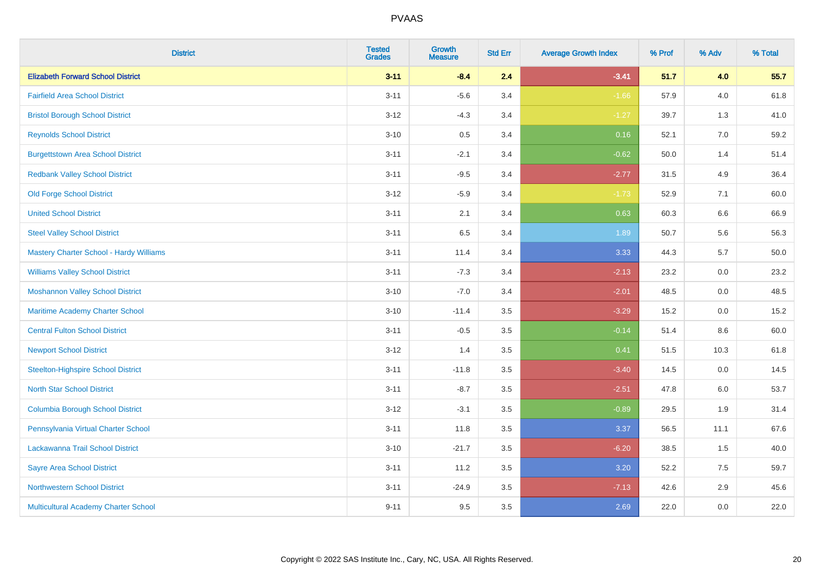| <b>District</b>                                | <b>Tested</b><br><b>Grades</b> | <b>Growth</b><br><b>Measure</b> | <b>Std Err</b> | <b>Average Growth Index</b> | % Prof | % Adv   | % Total |
|------------------------------------------------|--------------------------------|---------------------------------|----------------|-----------------------------|--------|---------|---------|
| <b>Elizabeth Forward School District</b>       | $3 - 11$                       | $-8.4$                          | 2.4            | $-3.41$                     | 51.7   | 4.0     | 55.7    |
| <b>Fairfield Area School District</b>          | $3 - 11$                       | $-5.6$                          | 3.4            | $-1.66$                     | 57.9   | 4.0     | 61.8    |
| <b>Bristol Borough School District</b>         | $3-12$                         | $-4.3$                          | 3.4            | $-1.27$                     | 39.7   | 1.3     | 41.0    |
| <b>Reynolds School District</b>                | $3 - 10$                       | 0.5                             | 3.4            | 0.16                        | 52.1   | 7.0     | 59.2    |
| <b>Burgettstown Area School District</b>       | $3 - 11$                       | $-2.1$                          | 3.4            | $-0.62$                     | 50.0   | 1.4     | 51.4    |
| <b>Redbank Valley School District</b>          | $3 - 11$                       | $-9.5$                          | 3.4            | $-2.77$                     | 31.5   | 4.9     | 36.4    |
| <b>Old Forge School District</b>               | $3 - 12$                       | $-5.9$                          | 3.4            | $-1.73$                     | 52.9   | 7.1     | 60.0    |
| <b>United School District</b>                  | $3 - 11$                       | 2.1                             | 3.4            | 0.63                        | 60.3   | 6.6     | 66.9    |
| <b>Steel Valley School District</b>            | $3 - 11$                       | 6.5                             | 3.4            | 1.89                        | 50.7   | 5.6     | 56.3    |
| <b>Mastery Charter School - Hardy Williams</b> | $3 - 11$                       | 11.4                            | 3.4            | 3.33                        | 44.3   | 5.7     | 50.0    |
| <b>Williams Valley School District</b>         | $3 - 11$                       | $-7.3$                          | 3.4            | $-2.13$                     | 23.2   | 0.0     | 23.2    |
| <b>Moshannon Valley School District</b>        | $3 - 10$                       | $-7.0$                          | 3.4            | $-2.01$                     | 48.5   | 0.0     | 48.5    |
| Maritime Academy Charter School                | $3 - 10$                       | $-11.4$                         | 3.5            | $-3.29$                     | 15.2   | $0.0\,$ | 15.2    |
| <b>Central Fulton School District</b>          | $3 - 11$                       | $-0.5$                          | 3.5            | $-0.14$                     | 51.4   | 8.6     | 60.0    |
| <b>Newport School District</b>                 | $3 - 12$                       | 1.4                             | 3.5            | 0.41                        | 51.5   | 10.3    | 61.8    |
| <b>Steelton-Highspire School District</b>      | $3 - 11$                       | $-11.8$                         | 3.5            | $-3.40$                     | 14.5   | $0.0\,$ | 14.5    |
| <b>North Star School District</b>              | $3 - 11$                       | $-8.7$                          | 3.5            | $-2.51$                     | 47.8   | 6.0     | 53.7    |
| <b>Columbia Borough School District</b>        | $3 - 12$                       | $-3.1$                          | 3.5            | $-0.89$                     | 29.5   | 1.9     | 31.4    |
| Pennsylvania Virtual Charter School            | $3 - 11$                       | 11.8                            | 3.5            | 3.37                        | 56.5   | 11.1    | 67.6    |
| Lackawanna Trail School District               | $3 - 10$                       | $-21.7$                         | 3.5            | $-6.20$                     | 38.5   | 1.5     | 40.0    |
| <b>Sayre Area School District</b>              | $3 - 11$                       | 11.2                            | 3.5            | 3.20                        | 52.2   | 7.5     | 59.7    |
| <b>Northwestern School District</b>            | $3 - 11$                       | $-24.9$                         | 3.5            | $-7.13$                     | 42.6   | 2.9     | 45.6    |
| Multicultural Academy Charter School           | $9 - 11$                       | 9.5                             | 3.5            | 2.69                        | 22.0   | 0.0     | 22.0    |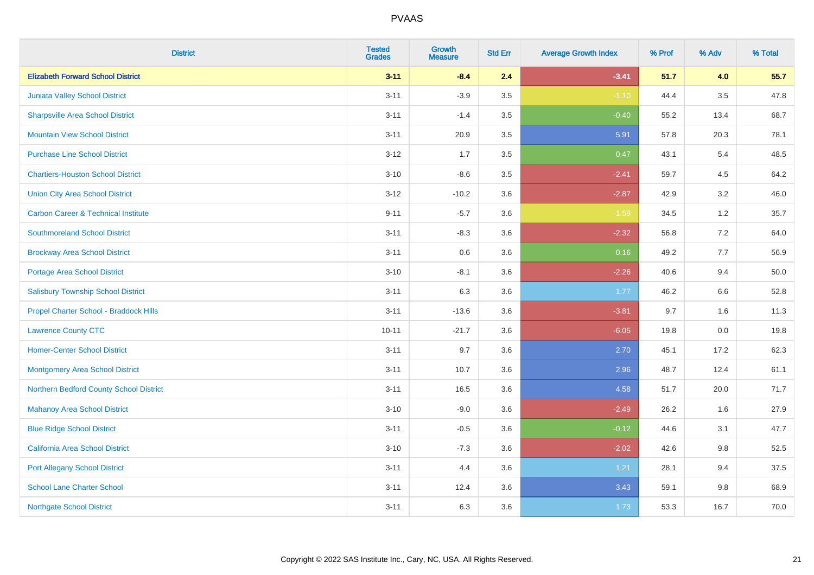| <b>District</b>                                | <b>Tested</b><br><b>Grades</b> | <b>Growth</b><br><b>Measure</b> | <b>Std Err</b> | <b>Average Growth Index</b> | % Prof | % Adv   | % Total |
|------------------------------------------------|--------------------------------|---------------------------------|----------------|-----------------------------|--------|---------|---------|
| <b>Elizabeth Forward School District</b>       | $3 - 11$                       | $-8.4$                          | 2.4            | $-3.41$                     | 51.7   | 4.0     | 55.7    |
| Juniata Valley School District                 | $3 - 11$                       | $-3.9$                          | 3.5            | $-1.10$                     | 44.4   | $3.5\,$ | 47.8    |
| <b>Sharpsville Area School District</b>        | $3 - 11$                       | $-1.4$                          | 3.5            | $-0.40$                     | 55.2   | 13.4    | 68.7    |
| <b>Mountain View School District</b>           | $3 - 11$                       | 20.9                            | 3.5            | 5.91                        | 57.8   | 20.3    | 78.1    |
| <b>Purchase Line School District</b>           | $3 - 12$                       | 1.7                             | 3.5            | 0.47                        | 43.1   | 5.4     | 48.5    |
| <b>Chartiers-Houston School District</b>       | $3 - 10$                       | $-8.6$                          | 3.5            | $-2.41$                     | 59.7   | 4.5     | 64.2    |
| <b>Union City Area School District</b>         | $3-12$                         | $-10.2$                         | 3.6            | $-2.87$                     | 42.9   | 3.2     | 46.0    |
| <b>Carbon Career &amp; Technical Institute</b> | $9 - 11$                       | $-5.7$                          | 3.6            | $-1.59$                     | 34.5   | 1.2     | 35.7    |
| <b>Southmoreland School District</b>           | $3 - 11$                       | $-8.3$                          | 3.6            | $-2.32$                     | 56.8   | $7.2\,$ | 64.0    |
| <b>Brockway Area School District</b>           | $3 - 11$                       | 0.6                             | 3.6            | 0.16                        | 49.2   | 7.7     | 56.9    |
| <b>Portage Area School District</b>            | $3 - 10$                       | $-8.1$                          | 3.6            | $-2.26$                     | 40.6   | 9.4     | 50.0    |
| <b>Salisbury Township School District</b>      | $3 - 11$                       | 6.3                             | 3.6            | 1.77                        | 46.2   | 6.6     | 52.8    |
| Propel Charter School - Braddock Hills         | $3 - 11$                       | $-13.6$                         | 3.6            | $-3.81$                     | 9.7    | 1.6     | 11.3    |
| <b>Lawrence County CTC</b>                     | $10 - 11$                      | $-21.7$                         | 3.6            | $-6.05$                     | 19.8   | $0.0\,$ | 19.8    |
| <b>Homer-Center School District</b>            | $3 - 11$                       | 9.7                             | 3.6            | 2.70                        | 45.1   | 17.2    | 62.3    |
| Montgomery Area School District                | $3 - 11$                       | 10.7                            | 3.6            | 2.96                        | 48.7   | 12.4    | 61.1    |
| Northern Bedford County School District        | $3 - 11$                       | 16.5                            | 3.6            | 4.58                        | 51.7   | 20.0    | 71.7    |
| <b>Mahanoy Area School District</b>            | $3 - 10$                       | $-9.0$                          | 3.6            | $-2.49$                     | 26.2   | 1.6     | 27.9    |
| <b>Blue Ridge School District</b>              | $3 - 11$                       | $-0.5$                          | 3.6            | $-0.12$                     | 44.6   | 3.1     | 47.7    |
| California Area School District                | $3 - 10$                       | $-7.3$                          | 3.6            | $-2.02$                     | 42.6   | 9.8     | 52.5    |
| <b>Port Allegany School District</b>           | $3 - 11$                       | 4.4                             | 3.6            | 1.21                        | 28.1   | 9.4     | 37.5    |
| <b>School Lane Charter School</b>              | $3 - 11$                       | 12.4                            | 3.6            | 3.43                        | 59.1   | 9.8     | 68.9    |
| <b>Northgate School District</b>               | $3 - 11$                       | 6.3                             | 3.6            | 1.73                        | 53.3   | 16.7    | 70.0    |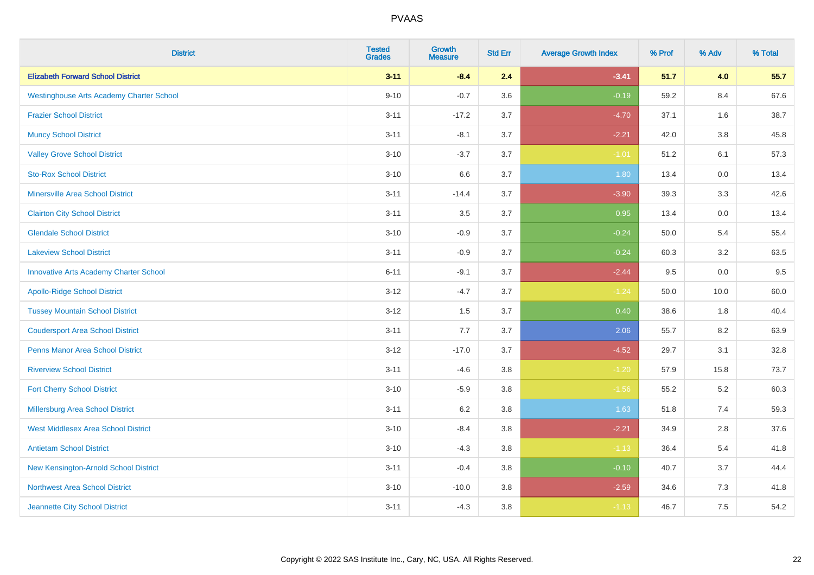| <b>District</b>                                 | <b>Tested</b><br><b>Grades</b> | <b>Growth</b><br><b>Measure</b> | <b>Std Err</b> | <b>Average Growth Index</b> | % Prof | % Adv | % Total |
|-------------------------------------------------|--------------------------------|---------------------------------|----------------|-----------------------------|--------|-------|---------|
| <b>Elizabeth Forward School District</b>        | $3 - 11$                       | $-8.4$                          | 2.4            | $-3.41$                     | 51.7   | 4.0   | 55.7    |
| <b>Westinghouse Arts Academy Charter School</b> | $9 - 10$                       | $-0.7$                          | 3.6            | $-0.19$                     | 59.2   | 8.4   | 67.6    |
| <b>Frazier School District</b>                  | $3 - 11$                       | $-17.2$                         | 3.7            | $-4.70$                     | 37.1   | 1.6   | 38.7    |
| <b>Muncy School District</b>                    | $3 - 11$                       | $-8.1$                          | 3.7            | $-2.21$                     | 42.0   | 3.8   | 45.8    |
| <b>Valley Grove School District</b>             | $3 - 10$                       | $-3.7$                          | 3.7            | $-1.01$                     | 51.2   | 6.1   | 57.3    |
| <b>Sto-Rox School District</b>                  | $3 - 10$                       | 6.6                             | 3.7            | 1.80                        | 13.4   | 0.0   | 13.4    |
| <b>Minersville Area School District</b>         | $3 - 11$                       | $-14.4$                         | 3.7            | $-3.90$                     | 39.3   | 3.3   | 42.6    |
| <b>Clairton City School District</b>            | $3 - 11$                       | 3.5                             | 3.7            | 0.95                        | 13.4   | 0.0   | 13.4    |
| <b>Glendale School District</b>                 | $3 - 10$                       | $-0.9$                          | 3.7            | $-0.24$                     | 50.0   | 5.4   | 55.4    |
| <b>Lakeview School District</b>                 | $3 - 11$                       | $-0.9$                          | 3.7            | $-0.24$                     | 60.3   | 3.2   | 63.5    |
| <b>Innovative Arts Academy Charter School</b>   | $6 - 11$                       | $-9.1$                          | 3.7            | $-2.44$                     | 9.5    | 0.0   | 9.5     |
| <b>Apollo-Ridge School District</b>             | $3 - 12$                       | $-4.7$                          | 3.7            | $-1.24$                     | 50.0   | 10.0  | 60.0    |
| <b>Tussey Mountain School District</b>          | $3 - 12$                       | 1.5                             | 3.7            | 0.40                        | 38.6   | 1.8   | 40.4    |
| <b>Coudersport Area School District</b>         | $3 - 11$                       | 7.7                             | 3.7            | 2.06                        | 55.7   | 8.2   | 63.9    |
| <b>Penns Manor Area School District</b>         | $3 - 12$                       | $-17.0$                         | 3.7            | $-4.52$                     | 29.7   | 3.1   | 32.8    |
| <b>Riverview School District</b>                | $3 - 11$                       | $-4.6$                          | 3.8            | $-1.20$                     | 57.9   | 15.8  | 73.7    |
| <b>Fort Cherry School District</b>              | $3 - 10$                       | $-5.9$                          | 3.8            | $-1.56$                     | 55.2   | 5.2   | 60.3    |
| Millersburg Area School District                | $3 - 11$                       | 6.2                             | 3.8            | 1.63                        | 51.8   | 7.4   | 59.3    |
| <b>West Middlesex Area School District</b>      | $3 - 10$                       | $-8.4$                          | 3.8            | $-2.21$                     | 34.9   | 2.8   | 37.6    |
| <b>Antietam School District</b>                 | $3 - 10$                       | $-4.3$                          | 3.8            | $-1.13$                     | 36.4   | 5.4   | 41.8    |
| <b>New Kensington-Arnold School District</b>    | $3 - 11$                       | $-0.4$                          | 3.8            | $-0.10$                     | 40.7   | 3.7   | 44.4    |
| Northwest Area School District                  | $3 - 10$                       | $-10.0$                         | 3.8            | $-2.59$                     | 34.6   | 7.3   | 41.8    |
| Jeannette City School District                  | $3 - 11$                       | $-4.3$                          | 3.8            | $-1.13$                     | 46.7   | 7.5   | 54.2    |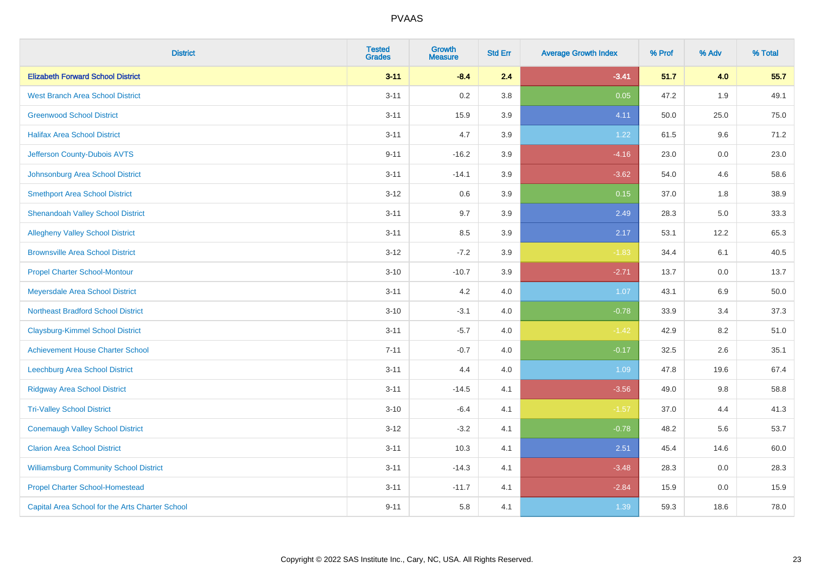| <b>District</b>                                 | <b>Tested</b><br><b>Grades</b> | <b>Growth</b><br><b>Measure</b> | <b>Std Err</b> | <b>Average Growth Index</b> | % Prof | % Adv | % Total |
|-------------------------------------------------|--------------------------------|---------------------------------|----------------|-----------------------------|--------|-------|---------|
| <b>Elizabeth Forward School District</b>        | $3 - 11$                       | $-8.4$                          | 2.4            | $-3.41$                     | 51.7   | 4.0   | 55.7    |
| <b>West Branch Area School District</b>         | $3 - 11$                       | 0.2                             | 3.8            | 0.05                        | 47.2   | 1.9   | 49.1    |
| <b>Greenwood School District</b>                | $3 - 11$                       | 15.9                            | 3.9            | 4.11                        | 50.0   | 25.0  | 75.0    |
| <b>Halifax Area School District</b>             | $3 - 11$                       | 4.7                             | 3.9            | 1.22                        | 61.5   | 9.6   | 71.2    |
| Jefferson County-Dubois AVTS                    | $9 - 11$                       | $-16.2$                         | 3.9            | $-4.16$                     | 23.0   | 0.0   | 23.0    |
| Johnsonburg Area School District                | $3 - 11$                       | $-14.1$                         | 3.9            | $-3.62$                     | 54.0   | 4.6   | 58.6    |
| <b>Smethport Area School District</b>           | $3 - 12$                       | 0.6                             | 3.9            | 0.15                        | 37.0   | 1.8   | 38.9    |
| <b>Shenandoah Valley School District</b>        | $3 - 11$                       | 9.7                             | 3.9            | 2.49                        | 28.3   | 5.0   | 33.3    |
| <b>Allegheny Valley School District</b>         | $3 - 11$                       | 8.5                             | 3.9            | 2.17                        | 53.1   | 12.2  | 65.3    |
| <b>Brownsville Area School District</b>         | $3 - 12$                       | $-7.2$                          | 3.9            | $-1.83$                     | 34.4   | 6.1   | 40.5    |
| <b>Propel Charter School-Montour</b>            | $3 - 10$                       | $-10.7$                         | 3.9            | $-2.71$                     | 13.7   | 0.0   | 13.7    |
| Meyersdale Area School District                 | $3 - 11$                       | 4.2                             | 4.0            | 1.07                        | 43.1   | 6.9   | 50.0    |
| <b>Northeast Bradford School District</b>       | $3 - 10$                       | $-3.1$                          | 4.0            | $-0.78$                     | 33.9   | 3.4   | 37.3    |
| <b>Claysburg-Kimmel School District</b>         | $3 - 11$                       | $-5.7$                          | 4.0            | $-1.42$                     | 42.9   | 8.2   | 51.0    |
| <b>Achievement House Charter School</b>         | $7 - 11$                       | $-0.7$                          | 4.0            | $-0.17$                     | 32.5   | 2.6   | 35.1    |
| Leechburg Area School District                  | $3 - 11$                       | 4.4                             | 4.0            | 1.09                        | 47.8   | 19.6  | 67.4    |
| <b>Ridgway Area School District</b>             | $3 - 11$                       | $-14.5$                         | 4.1            | $-3.56$                     | 49.0   | 9.8   | 58.8    |
| <b>Tri-Valley School District</b>               | $3 - 10$                       | $-6.4$                          | 4.1            | $-1.57$                     | 37.0   | 4.4   | 41.3    |
| <b>Conemaugh Valley School District</b>         | $3 - 12$                       | $-3.2$                          | 4.1            | $-0.78$                     | 48.2   | 5.6   | 53.7    |
| <b>Clarion Area School District</b>             | $3 - 11$                       | 10.3                            | 4.1            | 2.51                        | 45.4   | 14.6  | 60.0    |
| <b>Williamsburg Community School District</b>   | $3 - 11$                       | $-14.3$                         | 4.1            | $-3.48$                     | 28.3   | 0.0   | 28.3    |
| <b>Propel Charter School-Homestead</b>          | $3 - 11$                       | $-11.7$                         | 4.1            | $-2.84$                     | 15.9   | 0.0   | 15.9    |
| Capital Area School for the Arts Charter School | $9 - 11$                       | 5.8                             | 4.1            | 1.39                        | 59.3   | 18.6  | 78.0    |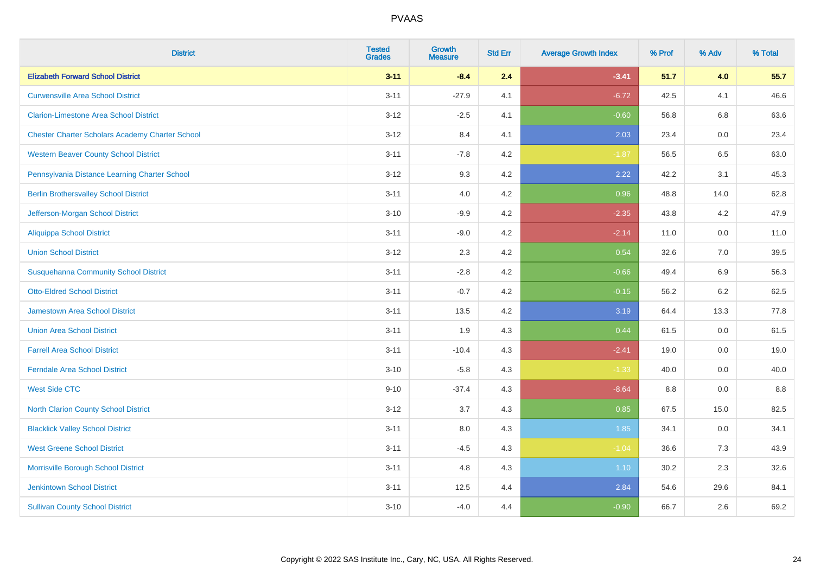| <b>District</b>                                        | <b>Tested</b><br><b>Grades</b> | <b>Growth</b><br><b>Measure</b> | <b>Std Err</b> | <b>Average Growth Index</b> | % Prof | % Adv   | % Total |
|--------------------------------------------------------|--------------------------------|---------------------------------|----------------|-----------------------------|--------|---------|---------|
| <b>Elizabeth Forward School District</b>               | $3 - 11$                       | $-8.4$                          | 2.4            | $-3.41$                     | 51.7   | 4.0     | 55.7    |
| <b>Curwensville Area School District</b>               | $3 - 11$                       | $-27.9$                         | 4.1            | $-6.72$                     | 42.5   | 4.1     | 46.6    |
| <b>Clarion-Limestone Area School District</b>          | $3 - 12$                       | $-2.5$                          | 4.1            | $-0.60$                     | 56.8   | 6.8     | 63.6    |
| <b>Chester Charter Scholars Academy Charter School</b> | $3 - 12$                       | 8.4                             | 4.1            | 2.03                        | 23.4   | 0.0     | 23.4    |
| <b>Western Beaver County School District</b>           | $3 - 11$                       | $-7.8$                          | 4.2            | $-1.87$                     | 56.5   | 6.5     | 63.0    |
| Pennsylvania Distance Learning Charter School          | $3 - 12$                       | 9.3                             | 4.2            | 2.22                        | 42.2   | 3.1     | 45.3    |
| <b>Berlin Brothersvalley School District</b>           | $3 - 11$                       | 4.0                             | 4.2            | 0.96                        | 48.8   | 14.0    | 62.8    |
| Jefferson-Morgan School District                       | $3 - 10$                       | $-9.9$                          | 4.2            | $-2.35$                     | 43.8   | 4.2     | 47.9    |
| <b>Aliquippa School District</b>                       | $3 - 11$                       | $-9.0$                          | 4.2            | $-2.14$                     | 11.0   | 0.0     | 11.0    |
| <b>Union School District</b>                           | $3 - 12$                       | 2.3                             | 4.2            | 0.54                        | 32.6   | 7.0     | 39.5    |
| <b>Susquehanna Community School District</b>           | $3 - 11$                       | $-2.8$                          | 4.2            | $-0.66$                     | 49.4   | 6.9     | 56.3    |
| <b>Otto-Eldred School District</b>                     | $3 - 11$                       | $-0.7$                          | 4.2            | $-0.15$                     | 56.2   | $6.2\,$ | 62.5    |
| <b>Jamestown Area School District</b>                  | $3 - 11$                       | 13.5                            | 4.2            | 3.19                        | 64.4   | 13.3    | 77.8    |
| <b>Union Area School District</b>                      | $3 - 11$                       | 1.9                             | 4.3            | 0.44                        | 61.5   | 0.0     | 61.5    |
| <b>Farrell Area School District</b>                    | $3 - 11$                       | $-10.4$                         | 4.3            | $-2.41$                     | 19.0   | 0.0     | 19.0    |
| <b>Ferndale Area School District</b>                   | $3 - 10$                       | $-5.8$                          | 4.3            | $-1.33$                     | 40.0   | $0.0\,$ | 40.0    |
| <b>West Side CTC</b>                                   | $9 - 10$                       | $-37.4$                         | 4.3            | $-8.64$                     | 8.8    | 0.0     | $8.8\,$ |
| <b>North Clarion County School District</b>            | $3 - 12$                       | 3.7                             | 4.3            | 0.85                        | 67.5   | 15.0    | 82.5    |
| <b>Blacklick Valley School District</b>                | $3 - 11$                       | 8.0                             | 4.3            | 1.85                        | 34.1   | 0.0     | 34.1    |
| <b>West Greene School District</b>                     | $3 - 11$                       | $-4.5$                          | 4.3            | $-1.04$                     | 36.6   | 7.3     | 43.9    |
| Morrisville Borough School District                    | $3 - 11$                       | 4.8                             | 4.3            | 1.10                        | 30.2   | 2.3     | 32.6    |
| <b>Jenkintown School District</b>                      | $3 - 11$                       | 12.5                            | 4.4            | 2.84                        | 54.6   | 29.6    | 84.1    |
| <b>Sullivan County School District</b>                 | $3 - 10$                       | $-4.0$                          | 4.4            | $-0.90$                     | 66.7   | 2.6     | 69.2    |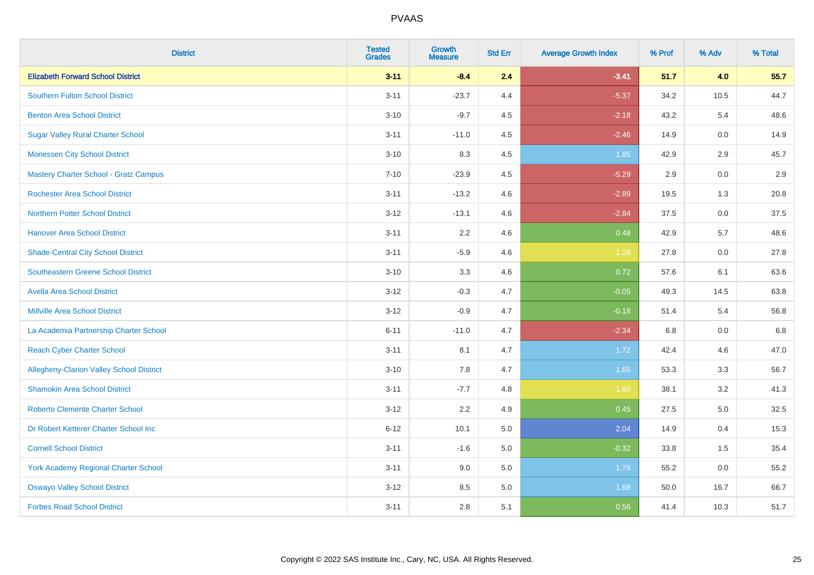| <b>District</b>                                 | <b>Tested</b><br><b>Grades</b> | <b>Growth</b><br><b>Measure</b> | <b>Std Err</b> | <b>Average Growth Index</b> | % Prof | % Adv   | % Total |
|-------------------------------------------------|--------------------------------|---------------------------------|----------------|-----------------------------|--------|---------|---------|
| <b>Elizabeth Forward School District</b>        | $3 - 11$                       | $-8.4$                          | 2.4            | $-3.41$                     | 51.7   | 4.0     | 55.7    |
| <b>Southern Fulton School District</b>          | $3 - 11$                       | $-23.7$                         | 4.4            | $-5.37$                     | 34.2   | 10.5    | 44.7    |
| <b>Benton Area School District</b>              | $3 - 10$                       | $-9.7$                          | 4.5            | $-2.18$                     | 43.2   | 5.4     | 48.6    |
| <b>Sugar Valley Rural Charter School</b>        | $3 - 11$                       | $-11.0$                         | 4.5            | $-2.46$                     | 14.9   | $0.0\,$ | 14.9    |
| <b>Monessen City School District</b>            | $3 - 10$                       | 8.3                             | 4.5            | 1.85                        | 42.9   | 2.9     | 45.7    |
| <b>Mastery Charter School - Gratz Campus</b>    | $7 - 10$                       | $-23.9$                         | 4.5            | $-5.29$                     | 2.9    | 0.0     | 2.9     |
| <b>Rochester Area School District</b>           | $3 - 11$                       | $-13.2$                         | 4.6            | $-2.89$                     | 19.5   | 1.3     | 20.8    |
| <b>Northern Potter School District</b>          | $3 - 12$                       | $-13.1$                         | 4.6            | $-2.84$                     | 37.5   | 0.0     | 37.5    |
| <b>Hanover Area School District</b>             | $3 - 11$                       | 2.2                             | 4.6            | 0.48                        | 42.9   | 5.7     | 48.6    |
| <b>Shade-Central City School District</b>       | $3 - 11$                       | $-5.9$                          | 4.6            | $-1.28$                     | 27.8   | 0.0     | 27.8    |
| <b>Southeastern Greene School District</b>      | $3 - 10$                       | 3.3                             | 4.6            | 0.72                        | 57.6   | 6.1     | 63.6    |
| <b>Avella Area School District</b>              | $3 - 12$                       | $-0.3$                          | 4.7            | $-0.05$                     | 49.3   | 14.5    | 63.8    |
| <b>Millville Area School District</b>           | $3 - 12$                       | $-0.9$                          | 4.7            | $-0.18$                     | 51.4   | 5.4     | 56.8    |
| La Academia Partnership Charter School          | $6 - 11$                       | $-11.0$                         | 4.7            | $-2.34$                     | 6.8    | 0.0     | 6.8     |
| <b>Reach Cyber Charter School</b>               | $3 - 11$                       | 8.1                             | 4.7            | 1.72                        | 42.4   | 4.6     | 47.0    |
| <b>Allegheny-Clarion Valley School District</b> | $3 - 10$                       | 7.8                             | 4.7            | 1.65                        | 53.3   | 3.3     | 56.7    |
| <b>Shamokin Area School District</b>            | $3 - 11$                       | $-7.7$                          | 4.8            | $-1.60$                     | 38.1   | 3.2     | 41.3    |
| <b>Roberto Clemente Charter School</b>          | $3 - 12$                       | 2.2                             | 4.9            | 0.45                        | 27.5   | 5.0     | 32.5    |
| Dr Robert Ketterer Charter School Inc           | $6 - 12$                       | 10.1                            | 5.0            | 2.04                        | 14.9   | 0.4     | 15.3    |
| <b>Cornell School District</b>                  | $3 - 11$                       | $-1.6$                          | 5.0            | $-0.32$                     | 33.8   | 1.5     | 35.4    |
| York Academy Regional Charter School            | $3 - 11$                       | 9.0                             | 5.0            | 1.79                        | 55.2   | 0.0     | 55.2    |
| <b>Oswayo Valley School District</b>            | $3 - 12$                       | 8.5                             | 5.0            | 1.68                        | 50.0   | 16.7    | 66.7    |
| <b>Forbes Road School District</b>              | $3 - 11$                       | 2.8                             | 5.1            | 0.56                        | 41.4   | 10.3    | 51.7    |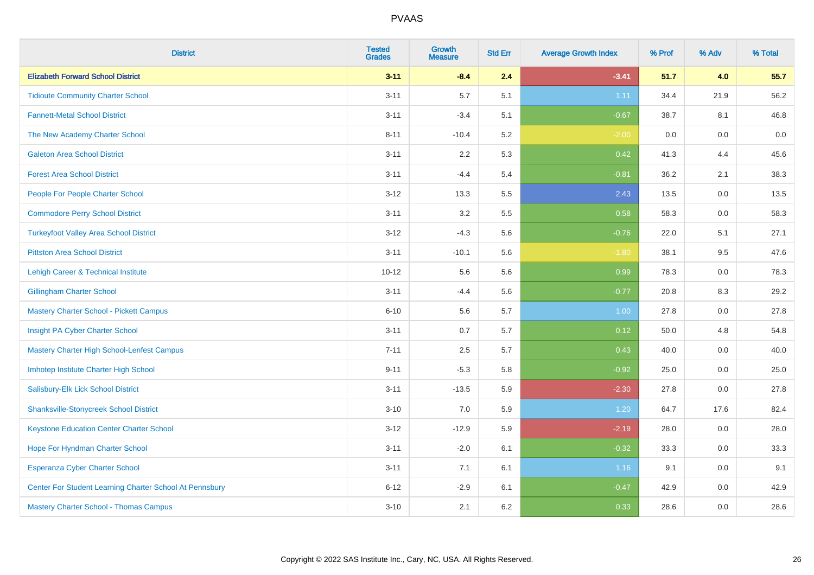| <b>District</b>                                         | <b>Tested</b><br><b>Grades</b> | <b>Growth</b><br><b>Measure</b> | <b>Std Err</b> | <b>Average Growth Index</b> | % Prof | % Adv   | % Total |
|---------------------------------------------------------|--------------------------------|---------------------------------|----------------|-----------------------------|--------|---------|---------|
| <b>Elizabeth Forward School District</b>                | $3 - 11$                       | $-8.4$                          | 2.4            | $-3.41$                     | 51.7   | 4.0     | 55.7    |
| <b>Tidioute Community Charter School</b>                | $3 - 11$                       | 5.7                             | 5.1            | 1.11                        | 34.4   | 21.9    | 56.2    |
| <b>Fannett-Metal School District</b>                    | $3 - 11$                       | $-3.4$                          | 5.1            | $-0.67$                     | 38.7   | 8.1     | 46.8    |
| The New Academy Charter School                          | $8 - 11$                       | $-10.4$                         | 5.2            | $-2.00$                     | 0.0    | $0.0\,$ | $0.0\,$ |
| <b>Galeton Area School District</b>                     | $3 - 11$                       | 2.2                             | 5.3            | 0.42                        | 41.3   | 4.4     | 45.6    |
| <b>Forest Area School District</b>                      | $3 - 11$                       | $-4.4$                          | 5.4            | $-0.81$                     | 36.2   | 2.1     | 38.3    |
| People For People Charter School                        | $3 - 12$                       | 13.3                            | 5.5            | 2.43                        | 13.5   | 0.0     | 13.5    |
| <b>Commodore Perry School District</b>                  | $3 - 11$                       | 3.2                             | 5.5            | 0.58                        | 58.3   | 0.0     | 58.3    |
| <b>Turkeyfoot Valley Area School District</b>           | $3 - 12$                       | $-4.3$                          | 5.6            | $-0.76$                     | 22.0   | 5.1     | 27.1    |
| <b>Pittston Area School District</b>                    | $3 - 11$                       | $-10.1$                         | 5.6            | $-1.80$                     | 38.1   | 9.5     | 47.6    |
| Lehigh Career & Technical Institute                     | $10 - 12$                      | 5.6                             | 5.6            | 0.99                        | 78.3   | 0.0     | 78.3    |
| <b>Gillingham Charter School</b>                        | $3 - 11$                       | $-4.4$                          | 5.6            | $-0.77$                     | 20.8   | 8.3     | 29.2    |
| <b>Mastery Charter School - Pickett Campus</b>          | $6 - 10$                       | 5.6                             | 5.7            | 1.00                        | 27.8   | 0.0     | 27.8    |
| Insight PA Cyber Charter School                         | $3 - 11$                       | 0.7                             | 5.7            | 0.12                        | 50.0   | 4.8     | 54.8    |
| Mastery Charter High School-Lenfest Campus              | $7 - 11$                       | 2.5                             | 5.7            | 0.43                        | 40.0   | 0.0     | 40.0    |
| Imhotep Institute Charter High School                   | $9 - 11$                       | $-5.3$                          | 5.8            | $-0.92$                     | 25.0   | 0.0     | 25.0    |
| Salisbury-Elk Lick School District                      | $3 - 11$                       | $-13.5$                         | 5.9            | $-2.30$                     | 27.8   | 0.0     | 27.8    |
| <b>Shanksville-Stonycreek School District</b>           | $3 - 10$                       | 7.0                             | 5.9            | 1.20                        | 64.7   | 17.6    | 82.4    |
| <b>Keystone Education Center Charter School</b>         | $3 - 12$                       | $-12.9$                         | 5.9            | $-2.19$                     | 28.0   | 0.0     | 28.0    |
| Hope For Hyndman Charter School                         | $3 - 11$                       | $-2.0$                          | 6.1            | $-0.32$                     | 33.3   | 0.0     | 33.3    |
| Esperanza Cyber Charter School                          | $3 - 11$                       | 7.1                             | 6.1            | 1.16                        | 9.1    | 0.0     | 9.1     |
| Center For Student Learning Charter School At Pennsbury | $6 - 12$                       | $-2.9$                          | 6.1            | $-0.47$                     | 42.9   | 0.0     | 42.9    |
| <b>Mastery Charter School - Thomas Campus</b>           | $3 - 10$                       | 2.1                             | 6.2            | 0.33                        | 28.6   | 0.0     | 28.6    |